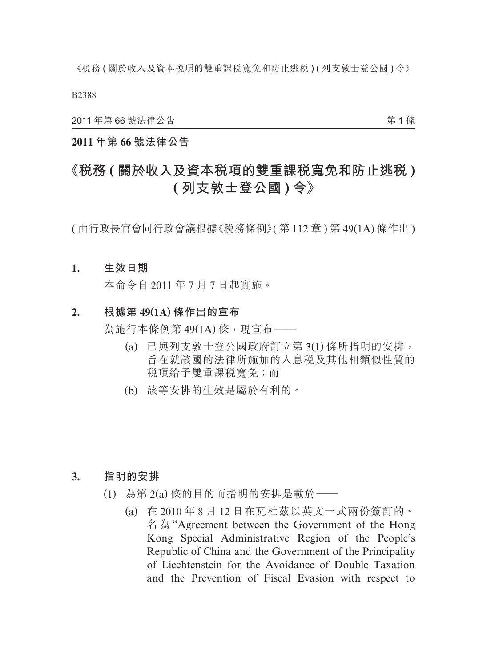B2388

2011 年第 66 號法律公告

第 1 條

### **2011 年第 66 號法律公告**

# **《稅務 ( 關於收入及資本稅項的雙重課稅寬免和防止逃稅 ) ( 列支敦士登公國 ) 令》**

( 由行政長官會同行政會議根據《稅務條例》( 第 112 章 ) 第 49(1A) 條作出 )

#### **1. 生效日期**

本命令自 2011 年 7 月 7 日起實施。

### **2. 根據第 49(1A) 條作出的宣布**

為施行本條例第 49(1A) 條, 現宣布––

- (a) 已與列支敦士登公國政府訂立第 3(1) 條所指明的安排, 旨在就該國的法律所施加的入息稅及其他相類似性質的 稅項給予雙重課稅寬免;而
- (b) 該等安排的生效是屬於有利的。

#### **3. 指明的安排**

- (1) 為第 2(a) 條的目的而指明的安排是載於——
	- (a) 在 2010 年 8 月 12 日在瓦杜茲以英文一式兩份簽訂的、 名 為 "Agreement between the Government of the Hong Kong Special Administrative Region of the People's Republic of China and the Government of the Principality of Liechtenstein for the Avoidance of Double Taxation and the Prevention of Fiscal Evasion with respect to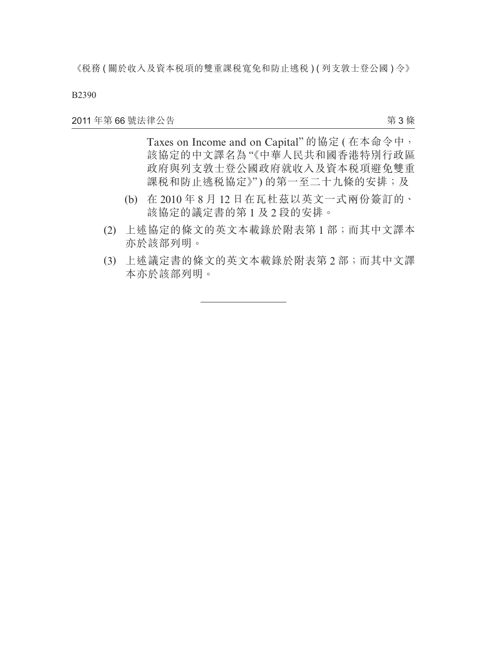B2390

2011 年第 66 號法律公告

第 3 條

Taxes on Income and on Capital" 的協定 ( 在本命令中, 該協定的中文譯名為"《中華人民共和國香港特別行政區 政府與列支敦士登公國政府就收入及資本稅項避免雙重 課税和防止逃税協定》")的第一至二十九條的安排;及

- (b) 在 2010 年 8 月 12 日在瓦杜茲以英文一式兩份簽訂的、 該協定的議定書的第 1 及 2 段的安排。
- (2) 上述協定的條文的英文本載錄於附表第 1 部;而其中文譯本 亦於該部列明。
- (3) 上述議定書的條文的英文本載錄於附表第 2 部;而其中文譯 本亦於該部列明。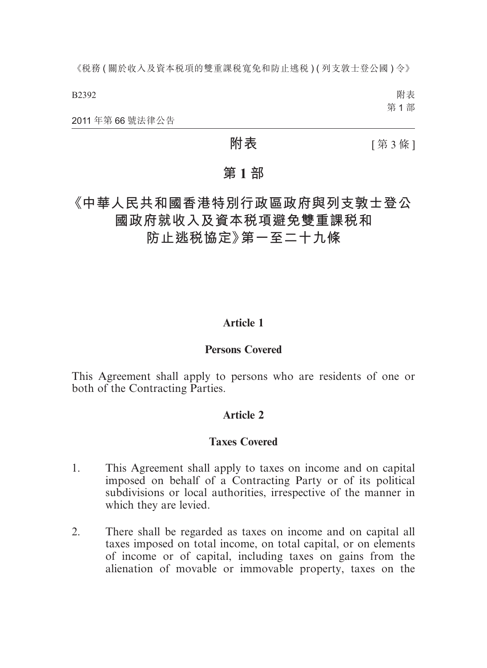B2392

附表 第 1 部

2011 年第 66 號法律公告

**附表 [第3條]** 

## **第 1 部**

**《中華人民共和國香港特別行政區政府與列支敦士登公 國政府就收入及資本稅項避免雙重課稅和**

**防止逃稅協定》第一至二十九條**

### **Article 1**

### **Persons Covered**

This Agreement shall apply to persons who are residents of one or both of the Contracting Parties.

### **Article 2**

### **Taxes Covered**

- 1. This Agreement shall apply to taxes on income and on capital imposed on behalf of a Contracting Party or of its political subdivisions or local authorities, irrespective of the manner in which they are levied.
- 2. There shall be regarded as taxes on income and on capital all taxes imposed on total income, on total capital, or on elements of income or of capital, including taxes on gains from the alienation of movable or immovable property, taxes on the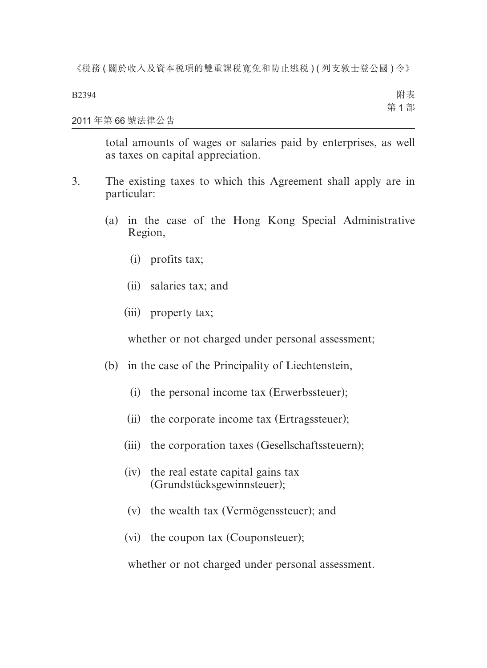B2394

附表 第 1 部

#### 2011 年第 66 號法律公告

total amounts of wages or salaries paid by enterprises, as well as taxes on capital appreciation.

- 3. The existing taxes to which this Agreement shall apply are in particular:
	- (a) in the case of the Hong Kong Special Administrative Region,
		- (i) profits tax;
		- (ii) salaries tax; and
		- (iii) property tax;

whether or not charged under personal assessment;

- (b) in the case of the Principality of Liechtenstein,
	- (i) the personal income tax (Erwerbssteuer);
	- (ii) the corporate income tax (Ertragssteuer);
	- (iii) the corporation taxes (Gesellschaftssteuern);
	- (iv) the real estate capital gains tax (Grundstücksgewinnsteuer);
	- (v) the wealth tax (Vermögenssteuer); and
	- (vi) the coupon tax (Couponsteuer);

whether or not charged under personal assessment.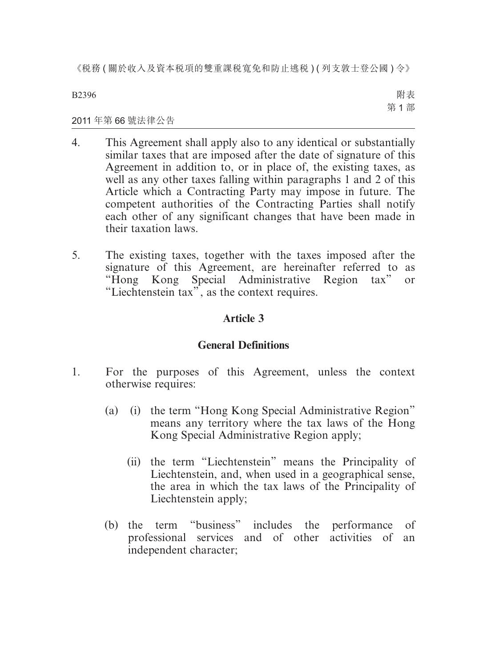B2396

附表 第 1 部

#### 2011 年第 66 號法律公告

- 4. This Agreement shall apply also to any identical or substantially similar taxes that are imposed after the date of signature of this Agreement in addition to, or in place of, the existing taxes, as well as any other taxes falling within paragraphs 1 and 2 of this Article which a Contracting Party may impose in future. The competent authorities of the Contracting Parties shall notify each other of any significant changes that have been made in their taxation laws.
- 5. The existing taxes, together with the taxes imposed after the signature of this Agreement, are hereinafter referred to as "Hong Kong Special Administrative Region tax" or "Liechtenstein tax", as the context requires.

### **Article 3**

### **General Definitions**

- 1. For the purposes of this Agreement, unless the context otherwise requires:
	- (a) (i) the term "Hong Kong Special Administrative Region" means any territory where the tax laws of the Hong Kong Special Administrative Region apply;
		- (ii) the term "Liechtenstein" means the Principality of Liechtenstein, and, when used in a geographical sense, the area in which the tax laws of the Principality of Liechtenstein apply;
	- (b) the term "business" includes the performance of professional services and of other activities of an independent character;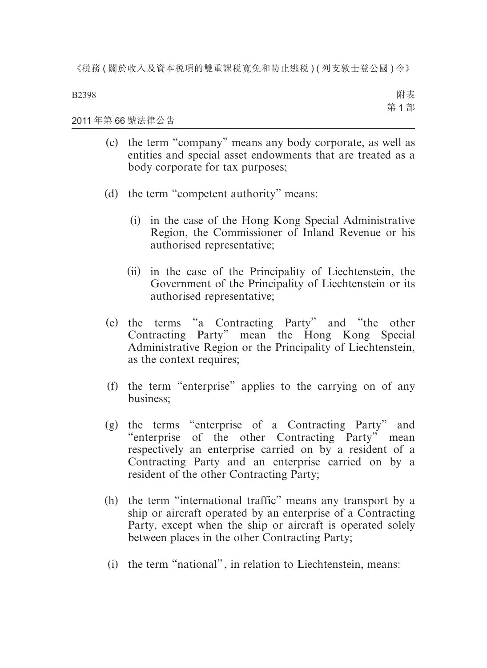B2398

附表 第 1 部

2011 年第 66 號法律公告

- (c) the term "company" means any body corporate, as well as entities and special asset endowments that are treated as a body corporate for tax purposes;
- (d) the term "competent authority" means:
	- (i) in the case of the Hong Kong Special Administrative Region, the Commissioner of Inland Revenue or his authorised representative;
	- (ii) in the case of the Principality of Liechtenstein, the Government of the Principality of Liechtenstein or its authorised representative;
- (e) the terms "a Contracting Party" and "the other Contracting Party" mean the Hong Kong Special Administrative Region or the Principality of Liechtenstein, as the context requires;
- (f) the term "enterprise" applies to the carrying on of any business;
- (g) the terms "enterprise of a Contracting Party" and "enterprise of the other Contracting Party" mean respectively an enterprise carried on by a resident of a Contracting Party and an enterprise carried on by a resident of the other Contracting Party;
- (h) the term "international traffic" means any transport by a ship or aircraft operated by an enterprise of a Contracting Party, except when the ship or aircraft is operated solely between places in the other Contracting Party;
- (i) the term "national", in relation to Liechtenstein, means: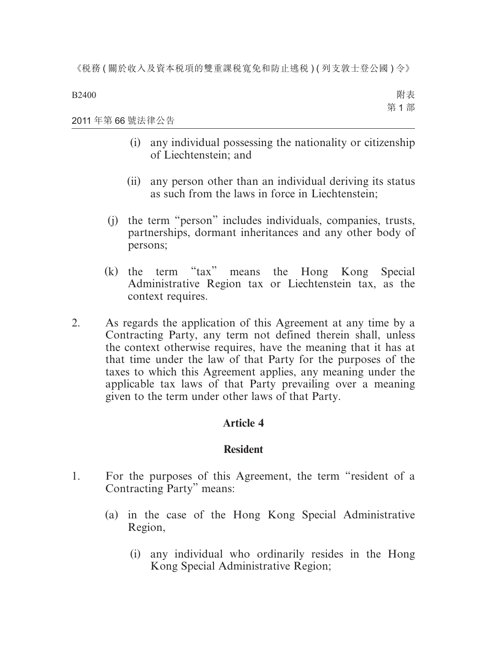B2400

2011 年第 66 號法律公告

- (i) any individual possessing the nationality or citizenship of Liechtenstein; and
- (ii) any person other than an individual deriving its status as such from the laws in force in Liechtenstein;
- (j) the term "person" includes individuals, companies, trusts, partnerships, dormant inheritances and any other body of persons;
- (k) the term "tax" means the Hong Kong Special Administrative Region tax or Liechtenstein tax, as the context requires.
- 2. As regards the application of this Agreement at any time by a Contracting Party, any term not defined therein shall, unless the context otherwise requires, have the meaning that it has at that time under the law of that Party for the purposes of the taxes to which this Agreement applies, any meaning under the applicable tax laws of that Party prevailing over a meaning given to the term under other laws of that Party.

### **Article 4**

### **Resident**

- 1. For the purposes of this Agreement, the term "resident of a Contracting Party" means:
	- (a) in the case of the Hong Kong Special Administrative Region,
		- (i) any individual who ordinarily resides in the Hong Kong Special Administrative Region;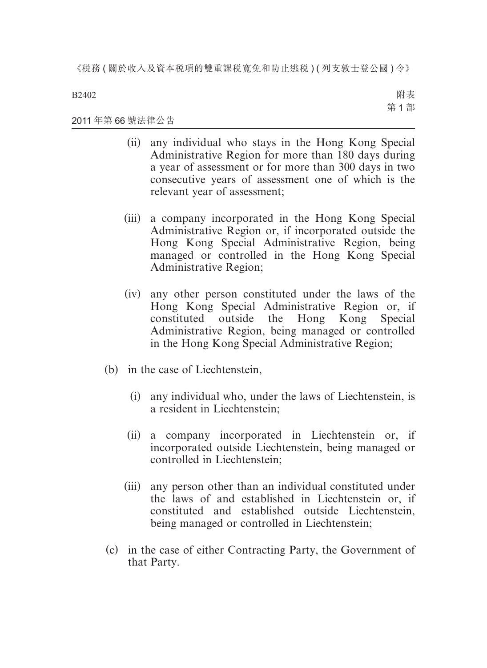B2402

附表 第 1 部

#### 2011 年第 66 號法律公告

- (ii) any individual who stays in the Hong Kong Special Administrative Region for more than 180 days during a year of assessment or for more than 300 days in two consecutive years of assessment one of which is the relevant year of assessment;
- (iii) a company incorporated in the Hong Kong Special Administrative Region or, if incorporated outside the Hong Kong Special Administrative Region, being managed or controlled in the Hong Kong Special Administrative Region;
- (iv) any other person constituted under the laws of the Hong Kong Special Administrative Region or, if constituted outside the Hong Kong Special Administrative Region, being managed or controlled in the Hong Kong Special Administrative Region;
- (b) in the case of Liechtenstein,
	- (i) any individual who, under the laws of Liechtenstein, is a resident in Liechtenstein;
	- (ii) a company incorporated in Liechtenstein or, if incorporated outside Liechtenstein, being managed or controlled in Liechtenstein;
	- (iii) any person other than an individual constituted under the laws of and established in Liechtenstein or, if constituted and established outside Liechtenstein, being managed or controlled in Liechtenstein;
- (c) in the case of either Contracting Party, the Government of that Party.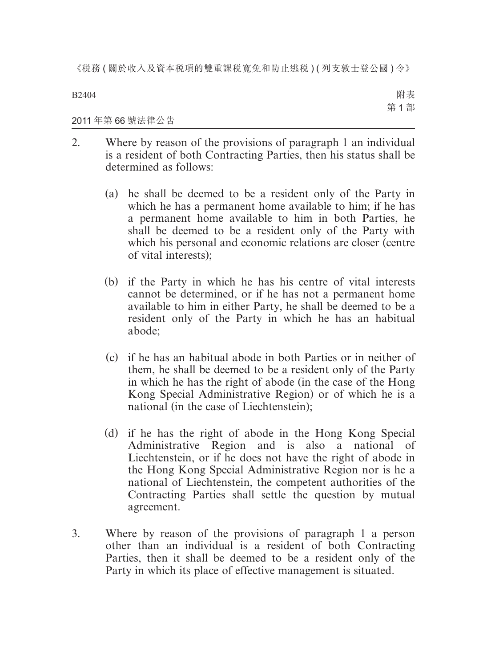B2404

附表 第 1 部

2011 年第 66 號法律公告

- 2. Where by reason of the provisions of paragraph 1 an individual is a resident of both Contracting Parties, then his status shall be determined as follows:
	- (a) he shall be deemed to be a resident only of the Party in which he has a permanent home available to him; if he has a permanent home available to him in both Parties, he shall be deemed to be a resident only of the Party with which his personal and economic relations are closer (centre of vital interests);
	- (b) if the Party in which he has his centre of vital interests cannot be determined, or if he has not a permanent home available to him in either Party, he shall be deemed to be a resident only of the Party in which he has an habitual abode;
	- (c) if he has an habitual abode in both Parties or in neither of them, he shall be deemed to be a resident only of the Party in which he has the right of abode (in the case of the Hong Kong Special Administrative Region) or of which he is a national (in the case of Liechtenstein);
	- (d) if he has the right of abode in the Hong Kong Special Administrative Region and is also a national of Liechtenstein, or if he does not have the right of abode in the Hong Kong Special Administrative Region nor is he a national of Liechtenstein, the competent authorities of the Contracting Parties shall settle the question by mutual agreement.
- 3. Where by reason of the provisions of paragraph 1 a person other than an individual is a resident of both Contracting Parties, then it shall be deemed to be a resident only of the Party in which its place of effective management is situated.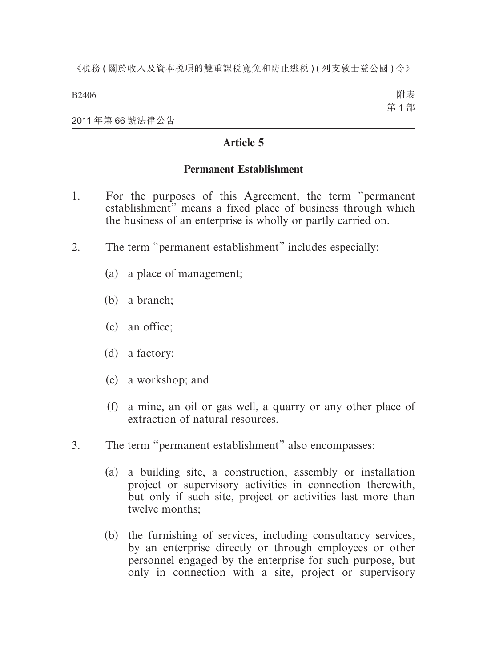B2406

附表 第 1 部

2011 年第 66 號法律公告

### **Article 5**

### **Permanent Establishment**

- 1. For the purposes of this Agreement, the term "permanent establishment" means a fixed place of business through which the business of an enterprise is wholly or partly carried on.
- 2. The term "permanent establishment" includes especially:
	- (a) a place of management;
	- (b) a branch;
	- (c) an office;
	- (d) a factory;
	- (e) a workshop; and
	- (f) a mine, an oil or gas well, a quarry or any other place of extraction of natural resources.
- 3. The term "permanent establishment" also encompasses:
	- (a) a building site, a construction, assembly or installation project or supervisory activities in connection therewith, but only if such site, project or activities last more than twelve months;
	- (b) the furnishing of services, including consultancy services, by an enterprise directly or through employees or other personnel engaged by the enterprise for such purpose, but only in connection with a site, project or supervisory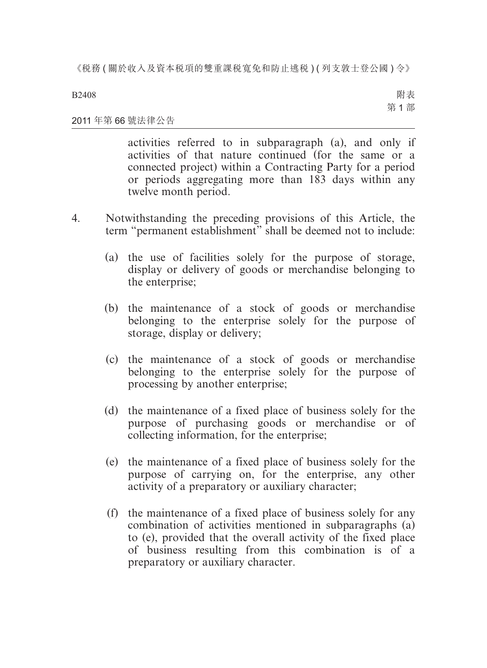B2408

附表 第 1 部

#### 2011 年第 66 號法律公告

activities referred to in subparagraph (a), and only if activities of that nature continued (for the same or a connected project) within a Contracting Party for a period or periods aggregating more than 183 days within any twelve month period.

- 4. Notwithstanding the preceding provisions of this Article, the term "permanent establishment" shall be deemed not to include:
	- (a) the use of facilities solely for the purpose of storage, display or delivery of goods or merchandise belonging to the enterprise;
	- (b) the maintenance of a stock of goods or merchandise belonging to the enterprise solely for the purpose of storage, display or delivery;
	- (c) the maintenance of a stock of goods or merchandise belonging to the enterprise solely for the purpose of processing by another enterprise;
	- (d) the maintenance of a fixed place of business solely for the purpose of purchasing goods or merchandise or of collecting information, for the enterprise;
	- (e) the maintenance of a fixed place of business solely for the purpose of carrying on, for the enterprise, any other activity of a preparatory or auxiliary character;
	- (f) the maintenance of a fixed place of business solely for any combination of activities mentioned in subparagraphs (a) to (e), provided that the overall activity of the fixed place of business resulting from this combination is of a preparatory or auxiliary character.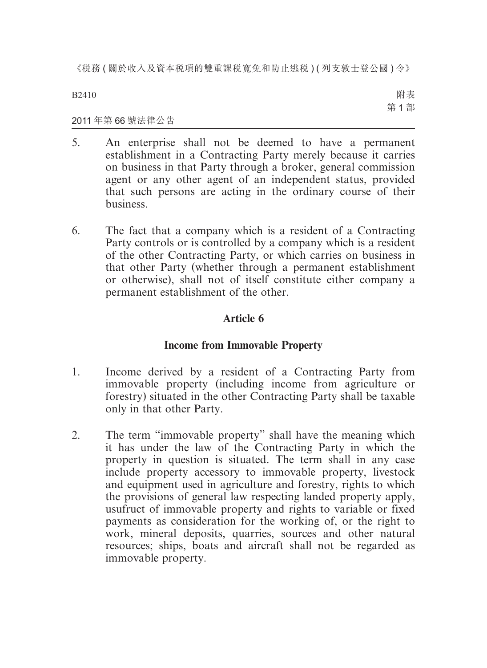B2410

附表 第 1 部

### 2011 年第 66 號法律公告

- 5. An enterprise shall not be deemed to have a permanent establishment in a Contracting Party merely because it carries on business in that Party through a broker, general commission agent or any other agent of an independent status, provided that such persons are acting in the ordinary course of their business.
- 6. The fact that a company which is a resident of a Contracting Party controls or is controlled by a company which is a resident of the other Contracting Party, or which carries on business in that other Party (whether through a permanent establishment or otherwise), shall not of itself constitute either company a permanent establishment of the other.

### **Article 6**

### **Income from Immovable Property**

- 1. Income derived by a resident of a Contracting Party from immovable property (including income from agriculture or forestry) situated in the other Contracting Party shall be taxable only in that other Party.
- 2. The term "immovable property" shall have the meaning which it has under the law of the Contracting Party in which the property in question is situated. The term shall in any case include property accessory to immovable property, livestock and equipment used in agriculture and forestry, rights to which the provisions of general law respecting landed property apply, usufruct of immovable property and rights to variable or fixed payments as consideration for the working of, or the right to work, mineral deposits, quarries, sources and other natural resources; ships, boats and aircraft shall not be regarded as immovable property.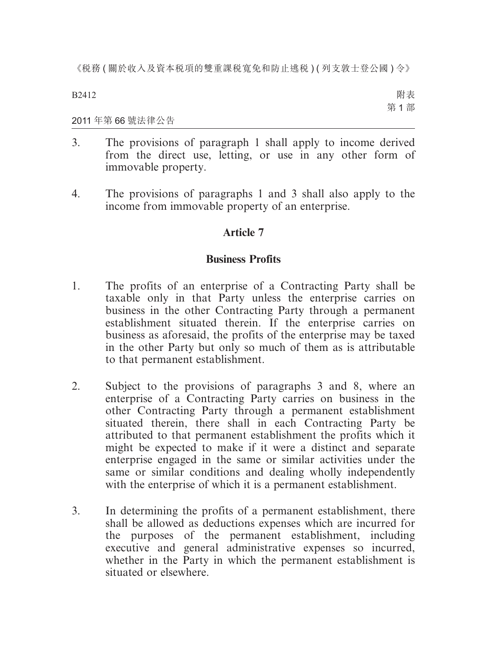B2412

附表 第 1 部

2011 年第 66 號法律公告

- 3. The provisions of paragraph 1 shall apply to income derived from the direct use, letting, or use in any other form of immovable property.
- 4. The provisions of paragraphs 1 and 3 shall also apply to the income from immovable property of an enterprise.

### **Article 7**

### **Business Profits**

- 1. The profits of an enterprise of a Contracting Party shall be taxable only in that Party unless the enterprise carries on business in the other Contracting Party through a permanent establishment situated therein. If the enterprise carries on business as aforesaid, the profits of the enterprise may be taxed in the other Party but only so much of them as is attributable to that permanent establishment.
- 2. Subject to the provisions of paragraphs 3 and 8, where an enterprise of a Contracting Party carries on business in the other Contracting Party through a permanent establishment situated therein, there shall in each Contracting Party be attributed to that permanent establishment the profits which it might be expected to make if it were a distinct and separate enterprise engaged in the same or similar activities under the same or similar conditions and dealing wholly independently with the enterprise of which it is a permanent establishment.
- 3. In determining the profits of a permanent establishment, there shall be allowed as deductions expenses which are incurred for the purposes of the permanent establishment, including executive and general administrative expenses so incurred, whether in the Party in which the permanent establishment is situated or elsewhere.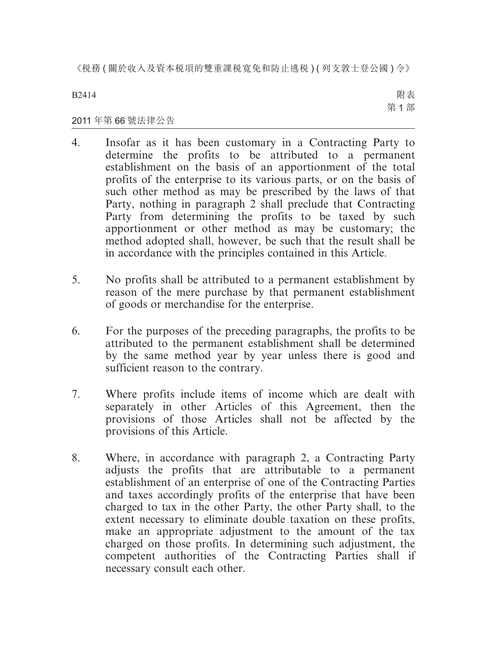B2414

附表 第 1 部

### 2011 年第 66 號法律公告

- 4. Insofar as it has been customary in a Contracting Party to determine the profits to be attributed to a permanent establishment on the basis of an apportionment of the total profits of the enterprise to its various parts, or on the basis of such other method as may be prescribed by the laws of that Party, nothing in paragraph 2 shall preclude that Contracting Party from determining the profits to be taxed by such apportionment or other method as may be customary; the method adopted shall, however, be such that the result shall be in accordance with the principles contained in this Article.
- 5. No profits shall be attributed to a permanent establishment by reason of the mere purchase by that permanent establishment of goods or merchandise for the enterprise.
- 6. For the purposes of the preceding paragraphs, the profits to be attributed to the permanent establishment shall be determined by the same method year by year unless there is good and sufficient reason to the contrary.
- 7. Where profits include items of income which are dealt with separately in other Articles of this Agreement, then the provisions of those Articles shall not be affected by the provisions of this Article.
- 8. Where, in accordance with paragraph 2, a Contracting Party adjusts the profits that are attributable to a permanent establishment of an enterprise of one of the Contracting Parties and taxes accordingly profits of the enterprise that have been charged to tax in the other Party, the other Party shall, to the extent necessary to eliminate double taxation on these profits, make an appropriate adjustment to the amount of the tax charged on those profits. In determining such adjustment, the competent authorities of the Contracting Parties shall if necessary consult each other.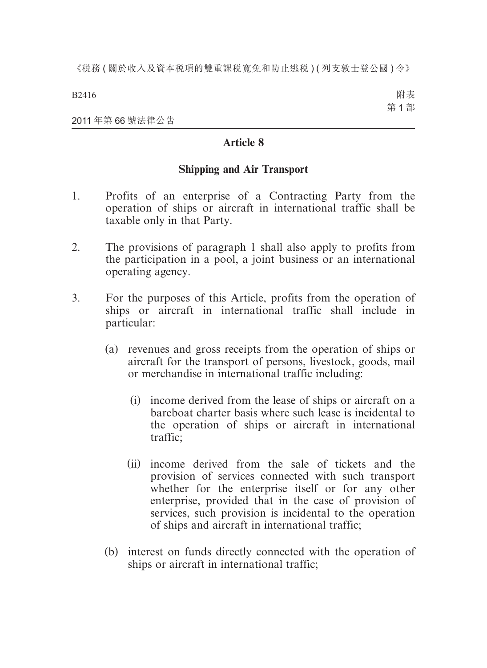B2416

附表 第 1 部

2011 年第 66 號法律公告

### **Article 8**

### **Shipping and Air Transport**

- 1. Profits of an enterprise of a Contracting Party from the operation of ships or aircraft in international traffic shall be taxable only in that Party.
- 2. The provisions of paragraph 1 shall also apply to profits from the participation in a pool, a joint business or an international operating agency.
- 3. For the purposes of this Article, profits from the operation of ships or aircraft in international traffic shall include in particular:
	- (a) revenues and gross receipts from the operation of ships or aircraft for the transport of persons, livestock, goods, mail or merchandise in international traffic including:
		- (i) income derived from the lease of ships or aircraft on a bareboat charter basis where such lease is incidental to the operation of ships or aircraft in international traffic;
		- (ii) income derived from the sale of tickets and the provision of services connected with such transport whether for the enterprise itself or for any other enterprise, provided that in the case of provision of services, such provision is incidental to the operation of ships and aircraft in international traffic;
	- (b) interest on funds directly connected with the operation of ships or aircraft in international traffic;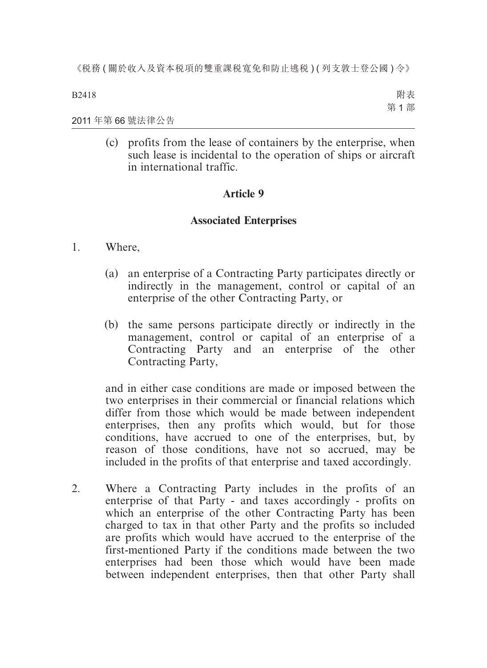B2418

附表 第 1 部

2011 年第 66 號法律公告

(c) profits from the lease of containers by the enterprise, when such lease is incidental to the operation of ships or aircraft in international traffic.

### **Article 9**

### **Associated Enterprises**

### 1. Where,

- (a) an enterprise of a Contracting Party participates directly or indirectly in the management, control or capital of an enterprise of the other Contracting Party, or
- (b) the same persons participate directly or indirectly in the management, control or capital of an enterprise of a Contracting Party and an enterprise of the other Contracting Party,

and in either case conditions are made or imposed between the two enterprises in their commercial or financial relations which differ from those which would be made between independent enterprises, then any profits which would, but for those conditions, have accrued to one of the enterprises, but, by reason of those conditions, have not so accrued, may be included in the profits of that enterprise and taxed accordingly.

2. Where a Contracting Party includes in the profits of an enterprise of that Party - and taxes accordingly - profits on which an enterprise of the other Contracting Party has been charged to tax in that other Party and the profits so included are profits which would have accrued to the enterprise of the first-mentioned Party if the conditions made between the two enterprises had been those which would have been made between independent enterprises, then that other Party shall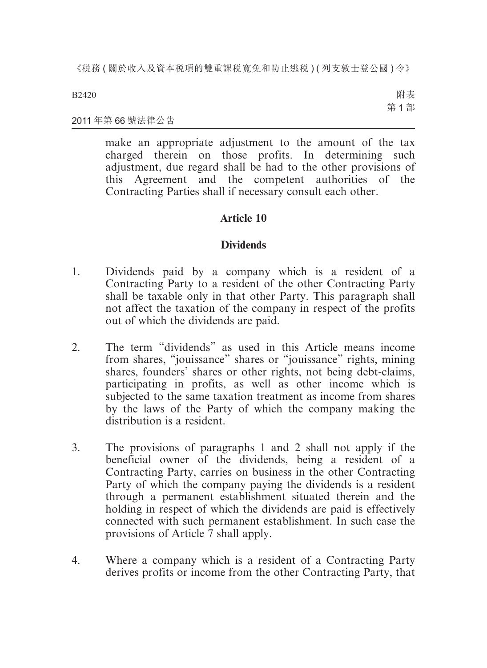B2420

附表 第 1 部

#### 2011 年第 66 號法律公告

make an appropriate adjustment to the amount of the tax charged therein on those profits. In determining such adjustment, due regard shall be had to the other provisions of this Agreement and the competent authorities of the Contracting Parties shall if necessary consult each other.

### **Article 10**

### **Dividends**

- 1. Dividends paid by a company which is a resident of a Contracting Party to a resident of the other Contracting Party shall be taxable only in that other Party. This paragraph shall not affect the taxation of the company in respect of the profits out of which the dividends are paid.
- 2. The term "dividends" as used in this Article means income from shares, "jouissance" shares or "jouissance" rights, mining shares, founders' shares or other rights, not being debt-claims, participating in profits, as well as other income which is subjected to the same taxation treatment as income from shares by the laws of the Party of which the company making the distribution is a resident.
- 3. The provisions of paragraphs 1 and 2 shall not apply if the beneficial owner of the dividends, being a resident of a Contracting Party, carries on business in the other Contracting Party of which the company paying the dividends is a resident through a permanent establishment situated therein and the holding in respect of which the dividends are paid is effectively connected with such permanent establishment. In such case the provisions of Article 7 shall apply.
- 4. Where a company which is a resident of a Contracting Party derives profits or income from the other Contracting Party, that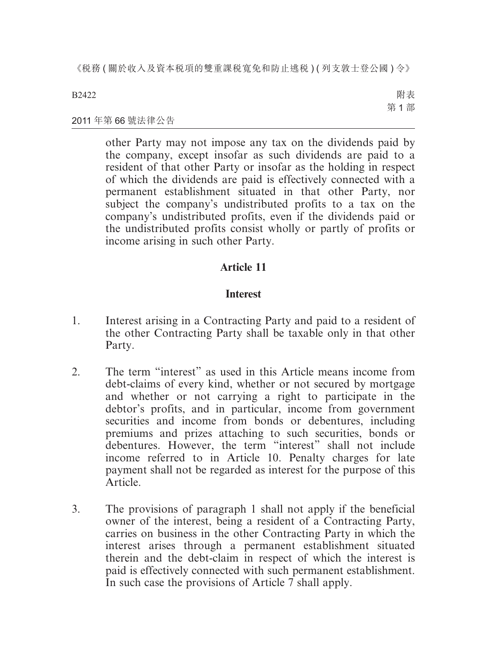B2422

附表 第 1 部

#### 2011 年第 66 號法律公告

other Party may not impose any tax on the dividends paid by the company, except insofar as such dividends are paid to a resident of that other Party or insofar as the holding in respect of which the dividends are paid is effectively connected with a permanent establishment situated in that other Party, nor subject the company's undistributed profits to a tax on the company's undistributed profits, even if the dividends paid or the undistributed profits consist wholly or partly of profits or income arising in such other Party.

### **Article 11**

### **Interest**

- 1. Interest arising in a Contracting Party and paid to a resident of the other Contracting Party shall be taxable only in that other Party.
- 2. The term "interest" as used in this Article means income from debt-claims of every kind, whether or not secured by mortgage and whether or not carrying a right to participate in the debtor's profits, and in particular, income from government securities and income from bonds or debentures, including premiums and prizes attaching to such securities, bonds or debentures. However, the term "interest" shall not include income referred to in Article 10. Penalty charges for late payment shall not be regarded as interest for the purpose of this Article.
- 3. The provisions of paragraph 1 shall not apply if the beneficial owner of the interest, being a resident of a Contracting Party, carries on business in the other Contracting Party in which the interest arises through a permanent establishment situated therein and the debt-claim in respect of which the interest is paid is effectively connected with such permanent establishment. In such case the provisions of Article  $\overline{7}$  shall apply.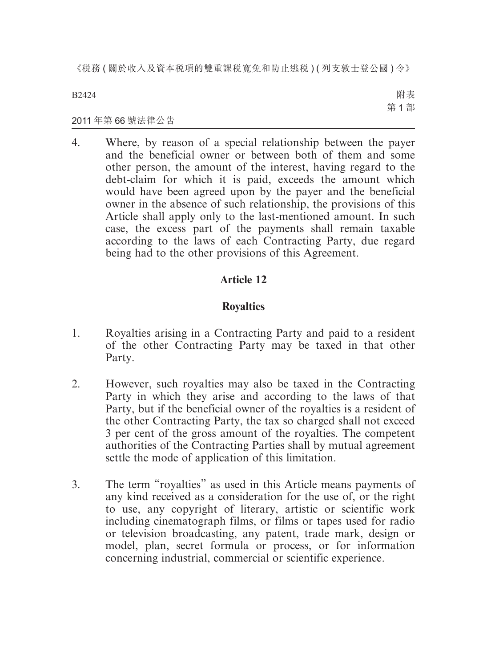B2424

附表 第 1 部

#### 2011 年第 66 號法律公告

4. Where, by reason of a special relationship between the payer and the beneficial owner or between both of them and some other person, the amount of the interest, having regard to the debt-claim for which it is paid, exceeds the amount which would have been agreed upon by the payer and the beneficial owner in the absence of such relationship, the provisions of this Article shall apply only to the last-mentioned amount. In such case, the excess part of the payments shall remain taxable according to the laws of each Contracting Party, due regard being had to the other provisions of this Agreement.

### **Article 12**

### **Royalties**

- 1. Royalties arising in a Contracting Party and paid to a resident of the other Contracting Party may be taxed in that other Party.
- 2. However, such royalties may also be taxed in the Contracting Party in which they arise and according to the laws of that Party, but if the beneficial owner of the royalties is a resident of the other Contracting Party, the tax so charged shall not exceed 3 per cent of the gross amount of the royalties. The competent authorities of the Contracting Parties shall by mutual agreement settle the mode of application of this limitation.
- 3. The term "royalties" as used in this Article means payments of any kind received as a consideration for the use of, or the right to use, any copyright of literary, artistic or scientific work including cinematograph films, or films or tapes used for radio or television broadcasting, any patent, trade mark, design or model, plan, secret formula or process, or for information concerning industrial, commercial or scientific experience.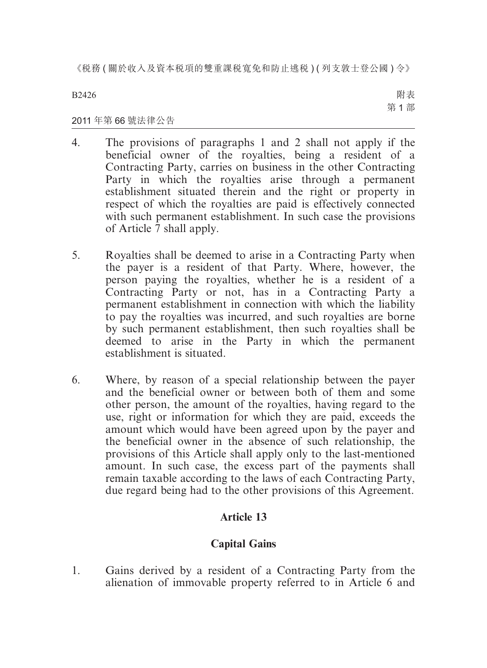B2426

附表 第 1 部

### 2011 年第 66 號法律公告

- 4. The provisions of paragraphs 1 and 2 shall not apply if the beneficial owner of the royalties, being a resident of a Contracting Party, carries on business in the other Contracting Party in which the royalties arise through a permanent establishment situated therein and the right or property in respect of which the royalties are paid is effectively connected with such permanent establishment. In such case the provisions of Article 7 shall apply.
- 5. Royalties shall be deemed to arise in a Contracting Party when the payer is a resident of that Party. Where, however, the person paying the royalties, whether he is a resident of a Contracting Party or not, has in a Contracting Party a permanent establishment in connection with which the liability to pay the royalties was incurred, and such royalties are borne by such permanent establishment, then such royalties shall be deemed to arise in the Party in which the permanent establishment is situated.
- 6. Where, by reason of a special relationship between the payer and the beneficial owner or between both of them and some other person, the amount of the royalties, having regard to the use, right or information for which they are paid, exceeds the amount which would have been agreed upon by the payer and the beneficial owner in the absence of such relationship, the provisions of this Article shall apply only to the last-mentioned amount. In such case, the excess part of the payments shall remain taxable according to the laws of each Contracting Party, due regard being had to the other provisions of this Agreement.

### **Article 13**

### **Capital Gains**

1. Gains derived by a resident of a Contracting Party from the alienation of immovable property referred to in Article 6 and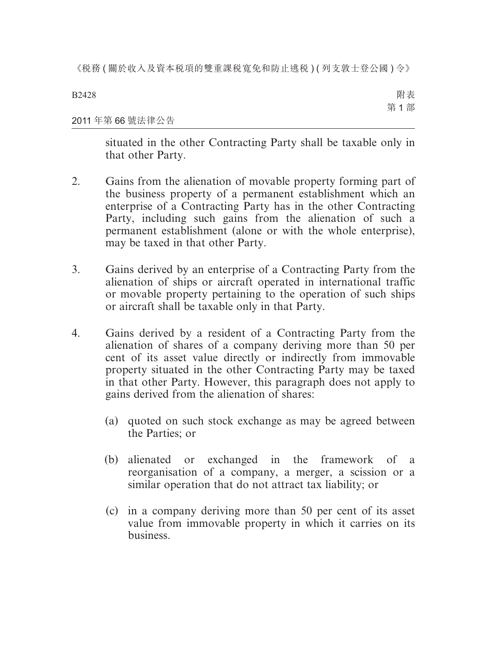B2428 2011 年第 66 號法律公告 附表 第 1 部

situated in the other Contracting Party shall be taxable only in that other Party.

- 2. Gains from the alienation of movable property forming part of the business property of a permanent establishment which an enterprise of a Contracting Party has in the other Contracting Party, including such gains from the alienation of such a permanent establishment (alone or with the whole enterprise), may be taxed in that other Party.
- 3. Gains derived by an enterprise of a Contracting Party from the alienation of ships or aircraft operated in international traffic or movable property pertaining to the operation of such ships or aircraft shall be taxable only in that Party.
- 4. Gains derived by a resident of a Contracting Party from the alienation of shares of a company deriving more than 50 per cent of its asset value directly or indirectly from immovable property situated in the other Contracting Party may be taxed in that other Party. However, this paragraph does not apply to gains derived from the alienation of shares:
	- (a) quoted on such stock exchange as may be agreed between the Parties; or
	- (b) alienated or exchanged in the framework of a reorganisation of a company, a merger, a scission or a similar operation that do not attract tax liability; or
	- (c) in a company deriving more than 50 per cent of its asset value from immovable property in which it carries on its business.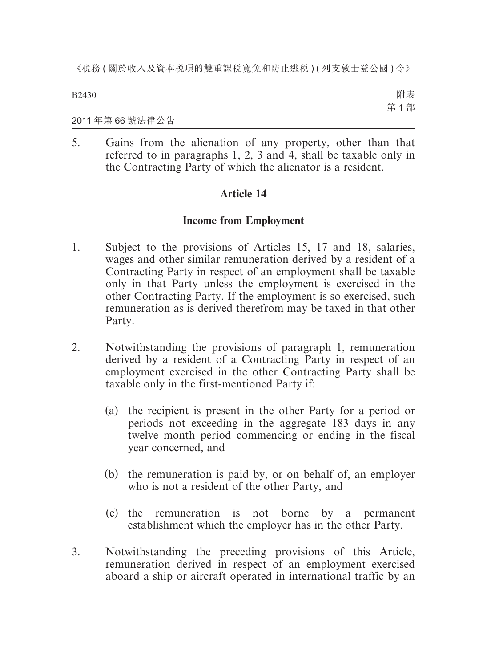B2430

附表 第 1 部

2011 年第 66 號法律公告

5. Gains from the alienation of any property, other than that referred to in paragraphs 1, 2, 3 and 4, shall be taxable only in the Contracting Party of which the alienator is a resident.

### **Article 14**

### **Income from Employment**

- 1. Subject to the provisions of Articles 15, 17 and 18, salaries, wages and other similar remuneration derived by a resident of a Contracting Party in respect of an employment shall be taxable only in that Party unless the employment is exercised in the other Contracting Party. If the employment is so exercised, such remuneration as is derived therefrom may be taxed in that other Party.
- 2. Notwithstanding the provisions of paragraph 1, remuneration derived by a resident of a Contracting Party in respect of an employment exercised in the other Contracting Party shall be taxable only in the first-mentioned Party if:
	- (a) the recipient is present in the other Party for a period or periods not exceeding in the aggregate 183 days in any twelve month period commencing or ending in the fiscal year concerned, and
	- (b) the remuneration is paid by, or on behalf of, an employer who is not a resident of the other Party, and
	- (c) the remuneration is not borne by a permanent establishment which the employer has in the other Party.
- 3. Notwithstanding the preceding provisions of this Article, remuneration derived in respect of an employment exercised aboard a ship or aircraft operated in international traffic by an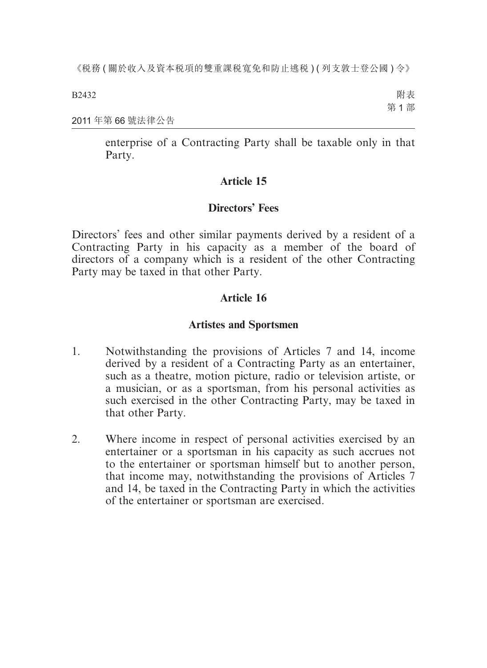B2432

附表 第 1 部

2011 年第 66 號法律公告

enterprise of a Contracting Party shall be taxable only in that Party.

### **Article 15**

### **Directors' Fees**

Directors' fees and other similar payments derived by a resident of a Contracting Party in his capacity as a member of the board of directors of a company which is a resident of the other Contracting Party may be taxed in that other Party.

### **Article 16**

### **Artistes and Sportsmen**

- 1. Notwithstanding the provisions of Articles 7 and 14, income derived by a resident of a Contracting Party as an entertainer, such as a theatre, motion picture, radio or television artiste, or a musician, or as a sportsman, from his personal activities as such exercised in the other Contracting Party, may be taxed in that other Party.
- 2. Where income in respect of personal activities exercised by an entertainer or a sportsman in his capacity as such accrues not to the entertainer or sportsman himself but to another person, that income may, notwithstanding the provisions of Articles 7 and 14, be taxed in the Contracting Party in which the activities of the entertainer or sportsman are exercised.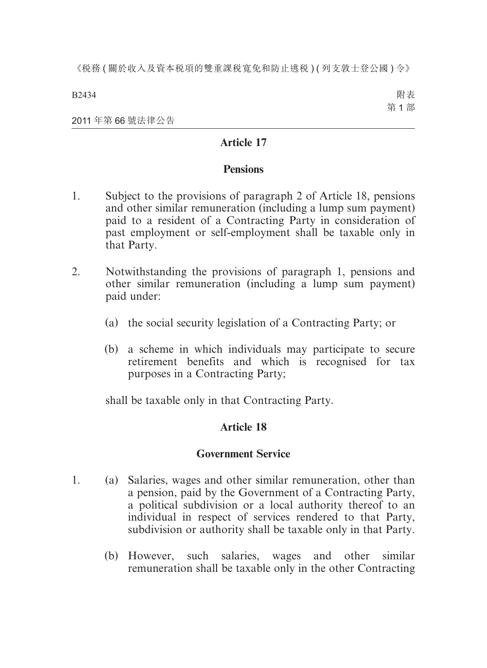B2434

附表 第 1 部

2011 年第 66 號法律公告

### **Article 17**

### **Pensions**

- 1. Subject to the provisions of paragraph 2 of Article 18, pensions and other similar remuneration (including a lump sum payment) paid to a resident of a Contracting Party in consideration of past employment or self-employment shall be taxable only in that Party.
- 2. Notwithstanding the provisions of paragraph 1, pensions and other similar remuneration (including a lump sum payment) paid under:
	- (a) the social security legislation of a Contracting Party; or
	- (b) a scheme in which individuals may participate to secure retirement benefits and which is recognised for tax purposes in a Contracting Party;

shall be taxable only in that Contracting Party.

### **Article 18**

### **Government Service**

- 1. (a) Salaries, wages and other similar remuneration, other than a pension, paid by the Government of a Contracting Party, a political subdivision or a local authority thereof to an individual in respect of services rendered to that Party, subdivision or authority shall be taxable only in that Party.
	- (b) However, such salaries, wages and other similar remuneration shall be taxable only in the other Contracting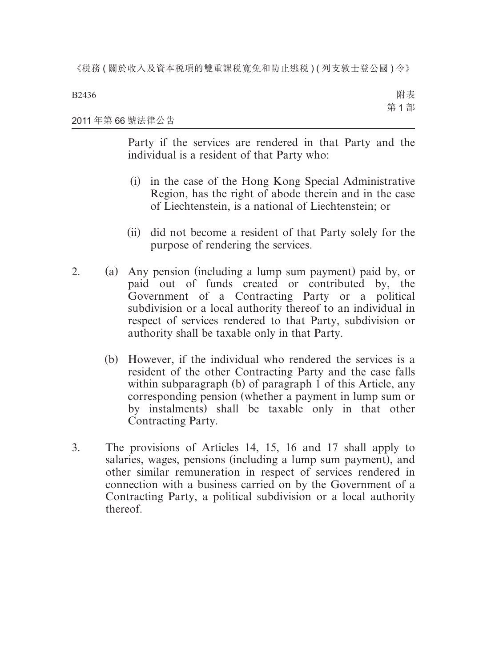B2436

附表 第 1 部

#### 2011 年第 66 號法律公告

Party if the services are rendered in that Party and the individual is a resident of that Party who:

- (i) in the case of the Hong Kong Special Administrative Region, has the right of abode therein and in the case of Liechtenstein, is a national of Liechtenstein; or
- (ii) did not become a resident of that Party solely for the purpose of rendering the services.
- 2. (a) Any pension (including a lump sum payment) paid by, or paid out of funds created or contributed by, the Government of a Contracting Party or a political subdivision or a local authority thereof to an individual in respect of services rendered to that Party, subdivision or authority shall be taxable only in that Party.
	- (b) However, if the individual who rendered the services is a resident of the other Contracting Party and the case falls within subparagraph (b) of paragraph 1 of this Article, any corresponding pension (whether a payment in lump sum or by instalments) shall be taxable only in that other Contracting Party.
- 3. The provisions of Articles 14, 15, 16 and 17 shall apply to salaries, wages, pensions (including a lump sum payment), and other similar remuneration in respect of services rendered in connection with a business carried on by the Government of a Contracting Party, a political subdivision or a local authority thereof.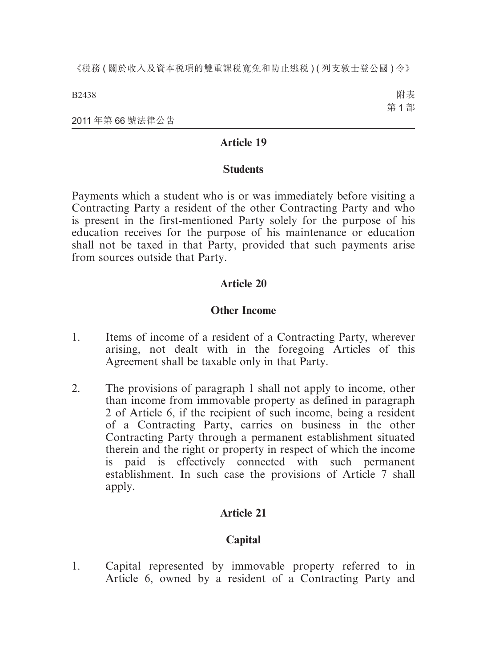B2438

附表 第 1 部

2011 年第 66 號法律公告

### **Article 19**

### **Students**

Payments which a student who is or was immediately before visiting a Contracting Party a resident of the other Contracting Party and who is present in the first-mentioned Party solely for the purpose of his education receives for the purpose of his maintenance or education shall not be taxed in that Party, provided that such payments arise from sources outside that Party.

### **Article 20**

### **Other Income**

- 1. Items of income of a resident of a Contracting Party, wherever arising, not dealt with in the foregoing Articles of this Agreement shall be taxable only in that Party.
- 2. The provisions of paragraph 1 shall not apply to income, other than income from immovable property as defined in paragraph 2 of Article 6, if the recipient of such income, being a resident of a Contracting Party, carries on business in the other Contracting Party through a permanent establishment situated therein and the right or property in respect of which the income is paid is effectively connected with such permanent establishment. In such case the provisions of Article 7 shall apply.

### **Article 21**

### **Capital**

1. Capital represented by immovable property referred to in Article 6, owned by a resident of a Contracting Party and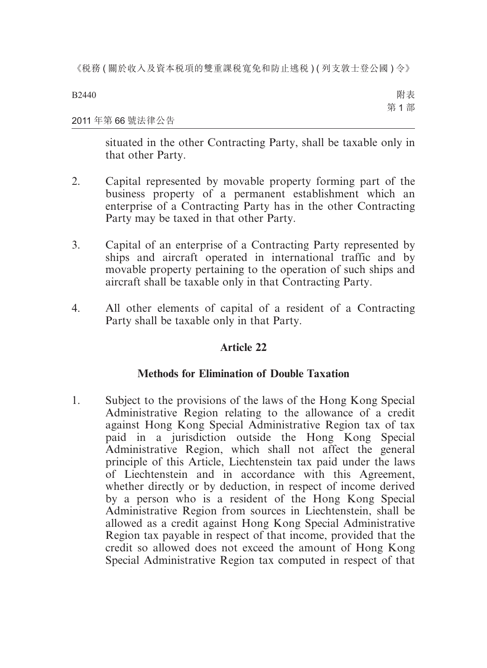B2440

附表 第 1 部

#### 2011 年第 66 號法律公告

situated in the other Contracting Party, shall be taxable only in that other Party.

- 2. Capital represented by movable property forming part of the business property of a permanent establishment which an enterprise of a Contracting Party has in the other Contracting Party may be taxed in that other Party.
- 3. Capital of an enterprise of a Contracting Party represented by ships and aircraft operated in international traffic and by movable property pertaining to the operation of such ships and aircraft shall be taxable only in that Contracting Party.
- 4. All other elements of capital of a resident of a Contracting Party shall be taxable only in that Party.

### **Article 22**

### **Methods for Elimination of Double Taxation**

1. Subject to the provisions of the laws of the Hong Kong Special Administrative Region relating to the allowance of a credit against Hong Kong Special Administrative Region tax of tax paid in a jurisdiction outside the Hong Kong Special Administrative Region, which shall not affect the general principle of this Article, Liechtenstein tax paid under the laws of Liechtenstein and in accordance with this Agreement, whether directly or by deduction, in respect of income derived by a person who is a resident of the Hong Kong Special Administrative Region from sources in Liechtenstein, shall be allowed as a credit against Hong Kong Special Administrative Region tax payable in respect of that income, provided that the credit so allowed does not exceed the amount of Hong Kong Special Administrative Region tax computed in respect of that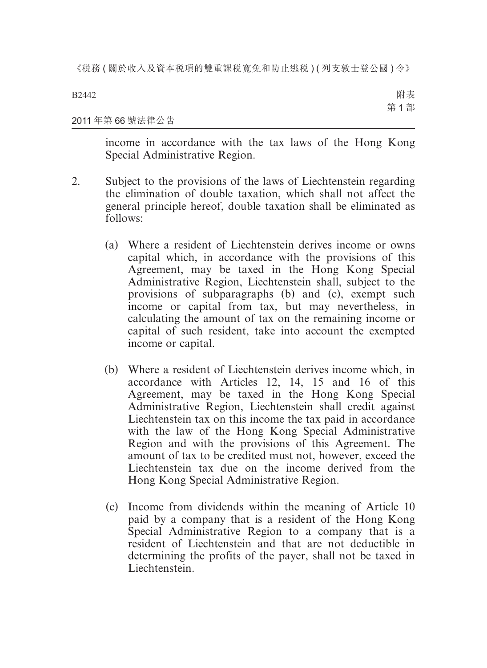#### B2442 2011 年第 66 號法律公告 附表 第 1 部

income in accordance with the tax laws of the Hong Kong Special Administrative Region.

- 2. Subject to the provisions of the laws of Liechtenstein regarding the elimination of double taxation, which shall not affect the general principle hereof, double taxation shall be eliminated as follows:
	- (a) Where a resident of Liechtenstein derives income or owns capital which, in accordance with the provisions of this Agreement, may be taxed in the Hong Kong Special Administrative Region, Liechtenstein shall, subject to the provisions of subparagraphs (b) and (c), exempt such income or capital from tax, but may nevertheless, in calculating the amount of tax on the remaining income or capital of such resident, take into account the exempted income or capital.
	- (b) Where a resident of Liechtenstein derives income which, in accordance with Articles 12, 14, 15 and 16 of this Agreement, may be taxed in the Hong Kong Special Administrative Region, Liechtenstein shall credit against Liechtenstein tax on this income the tax paid in accordance with the law of the Hong Kong Special Administrative Region and with the provisions of this Agreement. The amount of tax to be credited must not, however, exceed the Liechtenstein tax due on the income derived from the Hong Kong Special Administrative Region.
	- (c) Income from dividends within the meaning of Article 10 paid by a company that is a resident of the Hong Kong Special Administrative Region to a company that is a resident of Liechtenstein and that are not deductible in determining the profits of the payer, shall not be taxed in **Liechtenstein**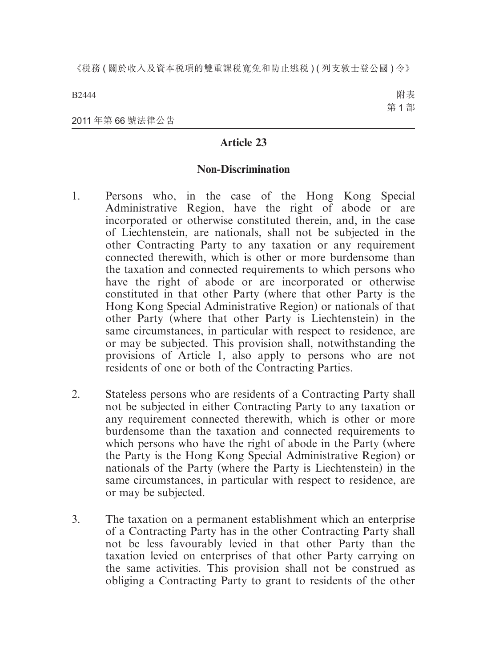B2444

附表 第 1 部

2011 年第 66 號法律公告

### **Article 23**

#### **Non-Discrimination**

- 1. Persons who, in the case of the Hong Kong Special Administrative Region, have the right of abode or are incorporated or otherwise constituted therein, and, in the case of Liechtenstein, are nationals, shall not be subjected in the other Contracting Party to any taxation or any requirement connected therewith, which is other or more burdensome than the taxation and connected requirements to which persons who have the right of abode or are incorporated or otherwise constituted in that other Party (where that other Party is the Hong Kong Special Administrative Region) or nationals of that other Party (where that other Party is Liechtenstein) in the same circumstances, in particular with respect to residence, are or may be subjected. This provision shall, notwithstanding the provisions of Article 1, also apply to persons who are not residents of one or both of the Contracting Parties.
- 2. Stateless persons who are residents of a Contracting Party shall not be subjected in either Contracting Party to any taxation or any requirement connected therewith, which is other or more burdensome than the taxation and connected requirements to which persons who have the right of abode in the Party (where the Party is the Hong Kong Special Administrative Region) or nationals of the Party (where the Party is Liechtenstein) in the same circumstances, in particular with respect to residence, are or may be subjected.
- 3. The taxation on a permanent establishment which an enterprise of a Contracting Party has in the other Contracting Party shall not be less favourably levied in that other Party than the taxation levied on enterprises of that other Party carrying on the same activities. This provision shall not be construed as obliging a Contracting Party to grant to residents of the other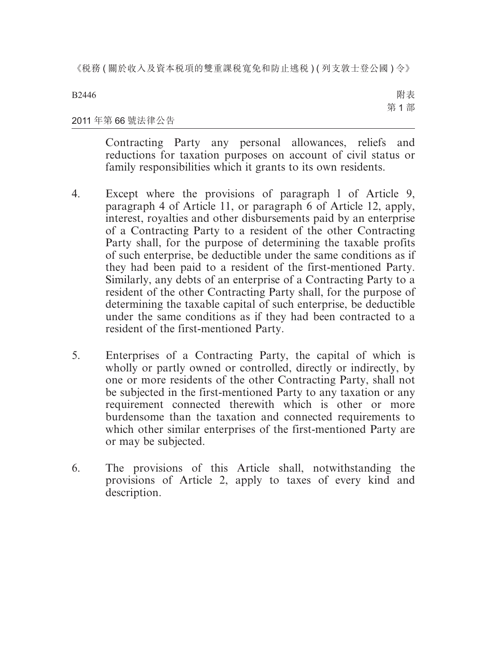B2446

附表 第 1 部

### 2011 年第 66 號法律公告

Contracting Party any personal allowances, reliefs and reductions for taxation purposes on account of civil status or family responsibilities which it grants to its own residents.

- 4. Except where the provisions of paragraph l of Article 9, paragraph 4 of Article 11, or paragraph 6 of Article 12, apply, interest, royalties and other disbursements paid by an enterprise of a Contracting Party to a resident of the other Contracting Party shall, for the purpose of determining the taxable profits of such enterprise, be deductible under the same conditions as if they had been paid to a resident of the first-mentioned Party. Similarly, any debts of an enterprise of a Contracting Party to a resident of the other Contracting Party shall, for the purpose of determining the taxable capital of such enterprise, be deductible under the same conditions as if they had been contracted to a resident of the first-mentioned Party.
- 5. Enterprises of a Contracting Party, the capital of which is wholly or partly owned or controlled, directly or indirectly, by one or more residents of the other Contracting Party, shall not be subjected in the first-mentioned Party to any taxation or any requirement connected therewith which is other or more burdensome than the taxation and connected requirements to which other similar enterprises of the first-mentioned Party are or may be subjected.
- 6. The provisions of this Article shall, notwithstanding the provisions of Article 2, apply to taxes of every kind and description.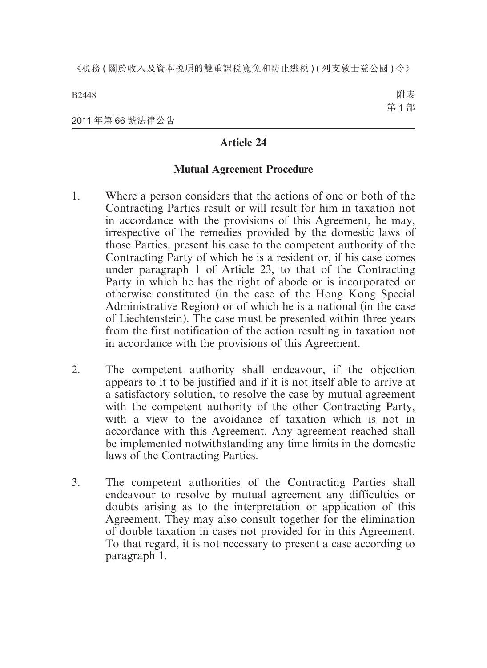B2448

附表 第 1 部

2011 年第 66 號法律公告

### **Article 24**

### **Mutual Agreement Procedure**

- 1. Where a person considers that the actions of one or both of the Contracting Parties result or will result for him in taxation not in accordance with the provisions of this Agreement, he may, irrespective of the remedies provided by the domestic laws of those Parties, present his case to the competent authority of the Contracting Party of which he is a resident or, if his case comes under paragraph 1 of Article 23, to that of the Contracting Party in which he has the right of abode or is incorporated or otherwise constituted (in the case of the Hong Kong Special Administrative Region) or of which he is a national (in the case of Liechtenstein). The case must be presented within three years from the first notification of the action resulting in taxation not in accordance with the provisions of this Agreement.
- 2. The competent authority shall endeavour, if the objection appears to it to be justified and if it is not itself able to arrive at a satisfactory solution, to resolve the case by mutual agreement with the competent authority of the other Contracting Party, with a view to the avoidance of taxation which is not in accordance with this Agreement. Any agreement reached shall be implemented notwithstanding any time limits in the domestic laws of the Contracting Parties.
- 3. The competent authorities of the Contracting Parties shall endeavour to resolve by mutual agreement any difficulties or doubts arising as to the interpretation or application of this Agreement. They may also consult together for the elimination of double taxation in cases not provided for in this Agreement. To that regard, it is not necessary to present a case according to paragraph 1.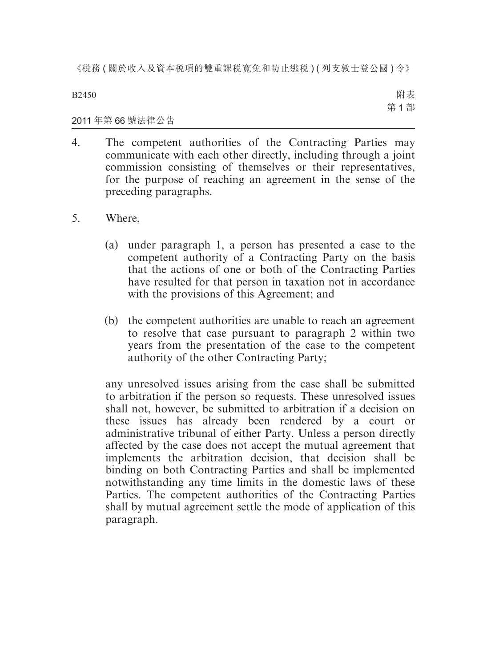B2450

附表 第 1 部

### 2011 年第 66 號法律公告

- 4. The competent authorities of the Contracting Parties may communicate with each other directly, including through a joint commission consisting of themselves or their representatives, for the purpose of reaching an agreement in the sense of the preceding paragraphs.
- 5. Where,
	- (a) under paragraph 1, a person has presented a case to the competent authority of a Contracting Party on the basis that the actions of one or both of the Contracting Parties have resulted for that person in taxation not in accordance with the provisions of this Agreement; and
	- (b) the competent authorities are unable to reach an agreement to resolve that case pursuant to paragraph 2 within two years from the presentation of the case to the competent authority of the other Contracting Party;

any unresolved issues arising from the case shall be submitted to arbitration if the person so requests. These unresolved issues shall not, however, be submitted to arbitration if a decision on these issues has already been rendered by a court or administrative tribunal of either Party. Unless a person directly affected by the case does not accept the mutual agreement that implements the arbitration decision, that decision shall be binding on both Contracting Parties and shall be implemented notwithstanding any time limits in the domestic laws of these Parties. The competent authorities of the Contracting Parties shall by mutual agreement settle the mode of application of this paragraph.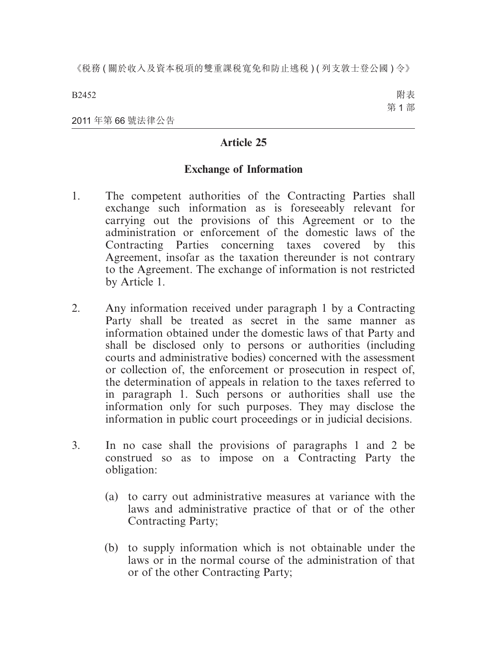B2452

附表 第 1 部

2011 年第 66 號法律公告

### **Article 25**

### **Exchange of Information**

- 1. The competent authorities of the Contracting Parties shall exchange such information as is foreseeably relevant for carrying out the provisions of this Agreement or to the administration or enforcement of the domestic laws of the Contracting Parties concerning taxes covered by this Agreement, insofar as the taxation thereunder is not contrary to the Agreement. The exchange of information is not restricted by Article 1.
- 2. Any information received under paragraph 1 by a Contracting Party shall be treated as secret in the same manner as information obtained under the domestic laws of that Party and shall be disclosed only to persons or authorities (including courts and administrative bodies) concerned with the assessment or collection of, the enforcement or prosecution in respect of, the determination of appeals in relation to the taxes referred to in paragraph 1. Such persons or authorities shall use the information only for such purposes. They may disclose the information in public court proceedings or in judicial decisions.
- 3. In no case shall the provisions of paragraphs 1 and 2 be construed so as to impose on a Contracting Party the obligation:
	- (a) to carry out administrative measures at variance with the laws and administrative practice of that or of the other Contracting Party;
	- (b) to supply information which is not obtainable under the laws or in the normal course of the administration of that or of the other Contracting Party;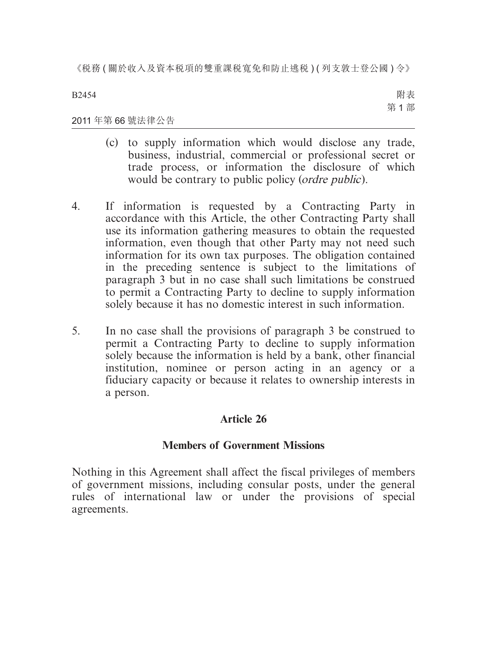B2454

附表 第 1 部

#### 2011 年第 66 號法律公告

- (c) to supply information which would disclose any trade, business, industrial, commercial or professional secret or trade process, or information the disclosure of which would be contrary to public policy (*ordre public*).
- 4. If information is requested by a Contracting Party in accordance with this Article, the other Contracting Party shall use its information gathering measures to obtain the requested information, even though that other Party may not need such information for its own tax purposes. The obligation contained in the preceding sentence is subject to the limitations of paragraph 3 but in no case shall such limitations be construed to permit a Contracting Party to decline to supply information solely because it has no domestic interest in such information.
- 5. In no case shall the provisions of paragraph 3 be construed to permit a Contracting Party to decline to supply information solely because the information is held by a bank, other financial institution, nominee or person acting in an agency or a fiduciary capacity or because it relates to ownership interests in a person.

### **Article 26**

### **Members of Government Missions**

Nothing in this Agreement shall affect the fiscal privileges of members of government missions, including consular posts, under the general rules of international law or under the provisions of special agreements.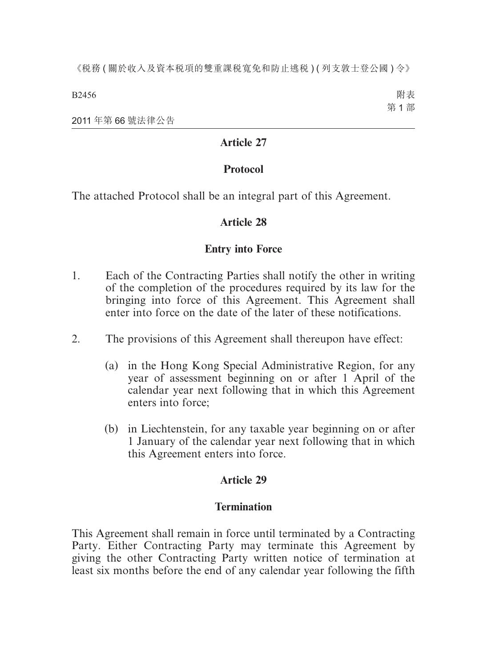B2456

附表 第 1 部

2011 年第 66 號法律公告

### **Article 27**

### **Protocol**

The attached Protocol shall be an integral part of this Agreement.

### **Article 28**

### **Entry into Force**

- 1. Each of the Contracting Parties shall notify the other in writing of the completion of the procedures required by its law for the bringing into force of this Agreement. This Agreement shall enter into force on the date of the later of these notifications.
- 2. The provisions of this Agreement shall thereupon have effect:
	- (a) in the Hong Kong Special Administrative Region, for any year of assessment beginning on or after 1 April of the calendar year next following that in which this Agreement enters into force;
	- (b) in Liechtenstein, for any taxable year beginning on or after 1 January of the calendar year next following that in which this Agreement enters into force.

### **Article 29**

### **Termination**

This Agreement shall remain in force until terminated by a Contracting Party. Either Contracting Party may terminate this Agreement by giving the other Contracting Party written notice of termination at least six months before the end of any calendar year following the fifth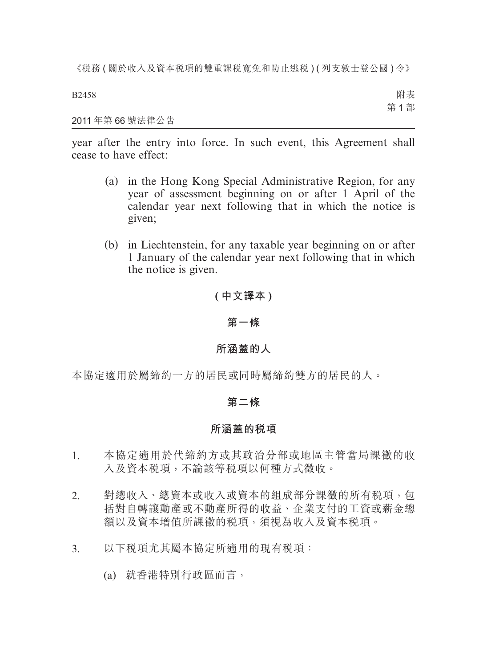B2458

附表 第 1 部

#### 2011 年第 66 號法律公告

year after the entry into force. In such event, this Agreement shall cease to have effect:

- (a) in the Hong Kong Special Administrative Region, for any year of assessment beginning on or after 1 April of the calendar year next following that in which the notice is given;
- (b) in Liechtenstein, for any taxable year beginning on or after 1 January of the calendar year next following that in which the notice is given.

### **( 中文譯本 )**

#### **第一條**

#### **所涵蓋的人**

本協定適用於屬締約一方的居民或同時屬締約雙方的居民的人。

#### **第二條**

#### **所涵蓋的稅項**

- 1. 本協定適用於代締約方或其政治分部或地區主管當局課徵的收 入及資本稅項,不論該等稅項以何種方式徵收。
- 2. 對總收入、總資本或收入或資本的組成部分課徵的所有稅項,包 括對自轉讓動產或不動產所得的收益、企業支付的工資或薪金總 額以及資本增值所課徵的稅項,須視為收入及資本稅項。
- 3. 以下稅項尤其屬本協定所適用的現有稅項:
	- (a) 就香港特別行政區而言,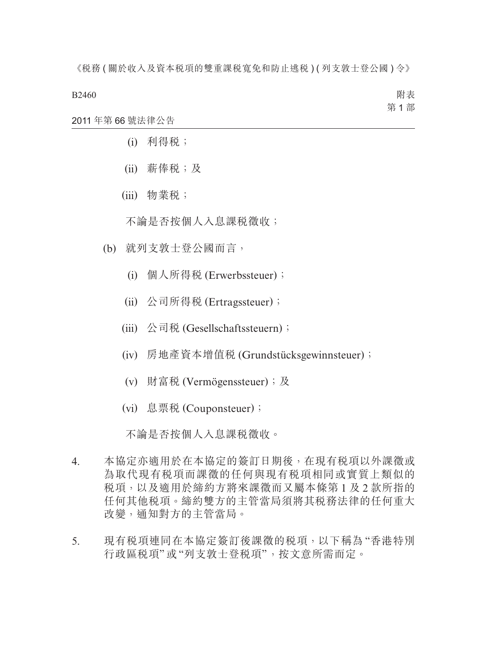B2460

附表 第 1 部

2011 年第 66 號法律公告

- (i) 利得稅;
- (ii) 薪俸稅;及
- (iii) 物業稅;

不論是否按個人入息課稅徵收;

- (b) 就列支敦士登公國而言,
	- (i) 個人所得稅 (Erwerbssteuer);
	- (ii) 公司所得稅 (Ertragssteuer);
	- (iii) 公司稅 (Gesellschaftssteuern);
	- (iv) 房地產資本增值稅 (Grundstücksgewinnsteuer);
	- (v) 財富稅 (Vermögenssteuer);及
	- (vi) 息票稅 (Couponsteuer);

不論是否按個人入息課稅徵收。

- 4. 本協定亦適用於在本協定的簽訂日期後,在現有稅項以外課徵或 為取代現有税項而課徵的任何與現有税項相同或實質上類似的 稅項,以及適用於締約方將來課徵而又屬本條第 1 及 2 款所指的 任何其他稅項。締約雙方的主管當局須將其稅務法律的任何重大 改變,通知對方的主管當局。
- 5. 現有稅項連同在本協定簽訂後課徵的稅項,以下稱為 "香港特別 行政區稅項"或"列支敦士登稅項",按文意所需而定。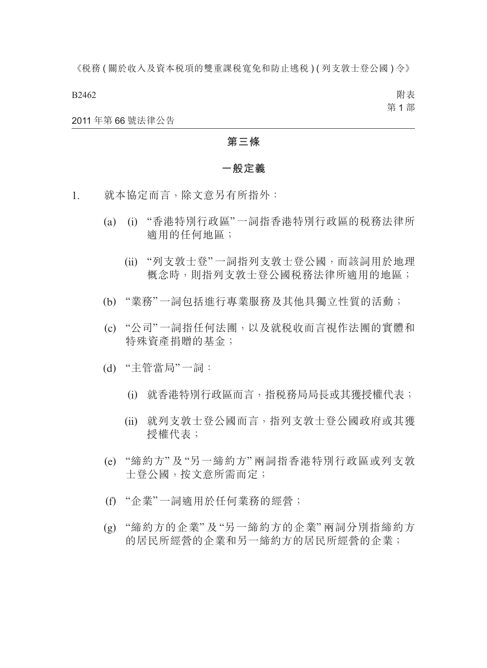B2462

附表 第 1 部

2011 年第 66 號法律公告

#### **第三條**

#### **一般定義**

- 1. 就本協定而言,除文意另有所指外:
	- (a) (i) "香港特別行政區"一詞指香港特別行政區的稅務法律所 適用的任何地區;
		- (ii) "列支敦士登" 一詞指列支敦士登公國,而該詞用於地理 概念時,則指列支敦士登公國稅務法律所適用的地區;
	- (b) "業務"一詞包括進行專業服務及其他具獨立性質的活動;
	- (c) "公司"一詞指任何法團,以及就稅收而言視作法團的實體和 特殊資產捐贈的基金;
	- (d) "主管當局"一詞:
		- (i) 就香港特別行政區而言,指稅務局局長或其獲授權代表;
		- (ii) 就列支敦士登公國而言,指列支敦士登公國政府或其獲 授權代表;
	- (e) "締約方" 及 "另一締約方" 兩詞指香港特別行政區或列支敦 士登公國,按文意所需而定;
	- (f) "企業"一詞適用於任何業務的經營;
	- (g) "締約方的企業" 及 "另一締約方的企業" 兩詞分別指締約方 的居民所經營的企業和另一締約方的居民所經營的企業;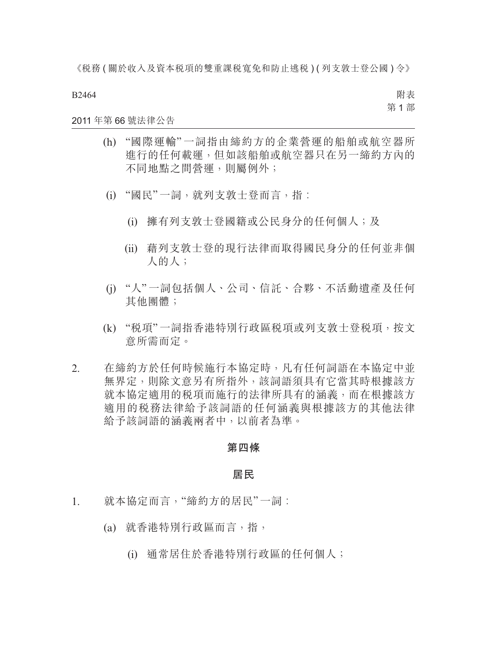B2464

附表 第 1 部

#### 2011 年第 66 號法律公告

- (h) "國際運輸" 一詞指由締約方的企業營運的船舶或航空器所 進行的任何載運,但如該船舶或航空器只在另一締約方內的 不同地點之間營運,則屬例外;
- (i) "國民"一詞,就列支敦士登而言,指︰
	- (i) 擁有列支敦士登國籍或公民身分的任何個人;及
	- (ii) 藉列支敦士登的現行法律而取得國民身分的任何並非個 人的人;
- (j) "人" 一詞包括個人、公司、信託、合夥、不活動遺產及任何 其他團體;
- (k) "稅項"一詞指香港特別行政區稅項或列支敦士登稅項,按文 意所需而定。
- 2. 在締約方於任何時候施行本協定時,凡有任何詞語在本協定中並 無界定,則除文意另有所指外,該詞語須具有它當其時根據該方 就本協定適用的稅項而施行的法律所具有的涵義,而在根據該方 適用的税務法律給予該詞語的任何涵義與根據該方的其他法律 給予該詞語的涵義兩者中,以前者為準。

#### **第四條**

#### **居民**

- 1. 就本協定而言, "締約方的居民"一詞:
	- (a) 就香港特別行政區而言,指,
		- (i) 通常居住於香港特別行政區的任何個人;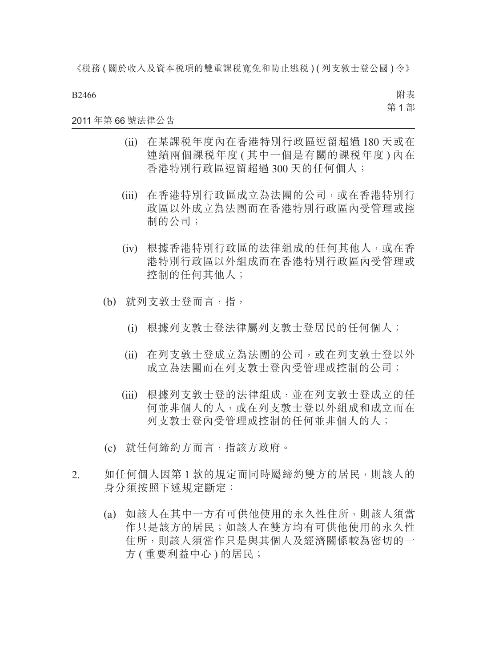B2466

附表 第 1 部

#### 2011 年第 66 號法律公告

- (ii) 在某課稅年度內在香港特別行政區逗留超過 180 天或在 連續兩個課税年度 ( 其中一個是有關的課税年度 ) 內在 香港特別行政區逗留超過 300 天的任何個人;
- (iii) 在香港特別行政區成立為法團的公司,或在香港特別行 政區以外成立為法團而在香港特別行政區內受管理或控 制的公司;
- (iv) 根據香港特別行政區的法律組成的任何其他人,或在香 港特別行政區以外組成而在香港特別行政區內受管理或 控制的任何其他人;
- (b) 就列支敦士登而言,指,
	- (i) 根據列支敦士登法律屬列支敦士登居民的任何個人;
	- (ii) 在列支敦士登成立為法團的公司,或在列支敦士登以外 成立為法團而在列支敦士登內受管理或控制的公司;
	- (iii) 根據列支敦士登的法律組成,並在列支敦士登成立的任 何並非個人的人,或在列支敦士登以外組成和成立而在 列支敦士登內受管理或控制的任何並非個人的人;
- (c) 就任何締約方而言,指該方政府。
- 2. 如任何個人因第 1 款的規定而同時屬締約雙方的居民,則該人的 身分須按照下述規定斷定:
	- (a) 如該人在其中一方有可供他使用的永久性住所,則該人須當 作只是該方的居民;如該人在雙方均有可供他使用的永久性 住所,則該人須當作只是與其個人及經濟關係較為密切的一 方 ( 重要利益中心 ) 的居民;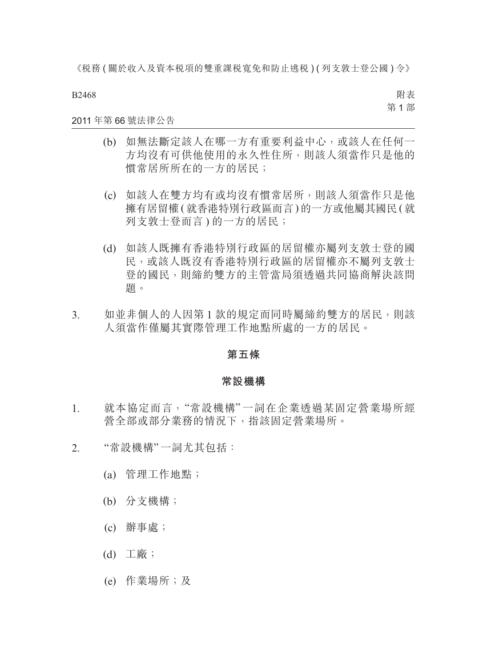B2468

附表 第 1 部

#### 2011 年第 66 號法律公告

- (b) 如無法斷定該人在哪一方有重要利益中心,或該人在任何一 方均沒有可供他使用的永久性住所,則該人須當作只是他的 慣常居所所在的一方的居民;
- (c) 如該人在雙方均有或均沒有慣常居所,則該人須當作只是他 擁有居留權 ( 就香港特別行政區而言 ) 的一方或他屬其國民 ( 就 列支敦士登而言 ) 的一方的居民;
- (d) 如該人既擁有香港特別行政區的居留權亦屬列支敦士登的國 民,或該人既沒有香港特別行政區的居留權亦不屬列支敦士 登的國民,則締約雙方的主管當局須透過共同協商解決該問 題。
- 3. 如並非個人的人因第 1 款的規定而同時屬締約雙方的居民,則該 人須當作僅屬其實際管理工作地點所處的一方的居民。

#### **第五條**

#### **常設機構**

- 1. 就本協定而言,"常設機構" 一詞在企業透過某固定營業場所經 營全部或部分業務的情況下,指該固定營業場所。
- 2. "常設機構"一詞尤其包括:
	- (a) 管理工作地點;
	- (b) 分支機構;
	- (c) 辦事處;
	- (d) 工廠;
	- (e) 作業場所;及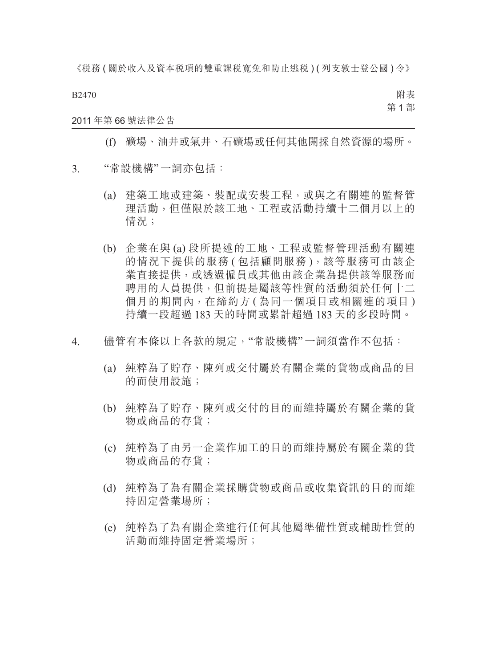B2470

附表 第 1 部

#### 2011 年第 66 號法律公告

(f) 礦場、油井或氣井、石礦場或任何其他開採自然資源的場所。

- 3. "常設機構"一詞亦包括:
	- (a) 建築工地或建築、裝配或安裝工程,或與之有關連的監督管 理活動,但僅限於該工地、工程或活動持續十二個月以上的 情況;
	- (b) 企業在與 (a) 段所提述的工地、工程或監督管理活動有關連 的情況下提供的服務 (包括顧問服務),該等服務可由該企 業直接提供,或透過僱員或其他由該企業為提供該等服務而 聘用的人員提供,但前提是屬該等性質的活動須於任何十二 個月的期間內,在締約方 ( 為同一個項目或相關連的項目 ) 持續一段超過 183 天的時間或累計超過 183 天的多段時間。
- 4. 儘管有本條以上各款的規定,"常設機構"一詞須當作不包括:
	- (a) 純粹為了貯存、陳列或交付屬於有關企業的貨物或商品的目 的而使用設施;
	- (b) 純粹為了貯存、陳列或交付的目的而維持屬於有關企業的貨 物或商品的存貨;
	- (c) 純粹為了由另一企業作加工的目的而維持屬於有關企業的貨 物或商品的存貨;
	- (d) 純粹為了為有關企業採購貨物或商品或收集資訊的目的而維 持固定營業場所;
	- (e) 純粹為了為有關企業進行任何其他屬準備性質或輔助性質的 活動而維持固定營業場所;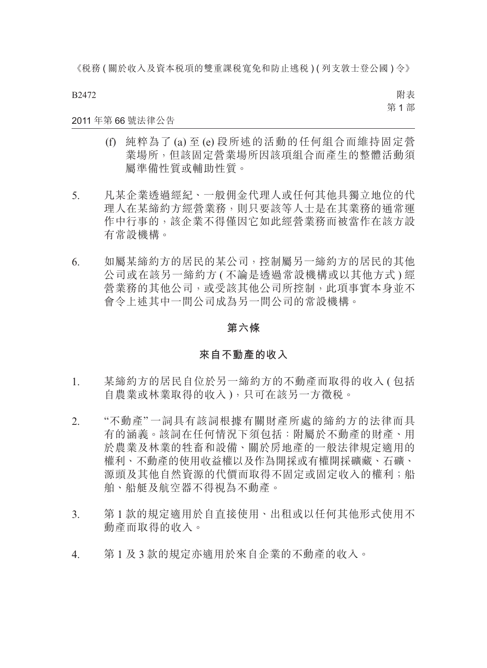B2472

附表 第 1 部

#### 2011 年第 66 號法律公告

- (f) 純粹為了 (a) 至 (e) 段所述的活動的任何組合而維持固定營 業場所,但該固定營業場所因該項組合而產生的整體活動須 屬準備性質或輔助性質。
- 5. 凡某企業透過經紀、一般佣金代理人或任何其他具獨立地位的代 理人在某締約方經營業務,則只要該等人士是在其業務的通常運 作中行事的,該企業不得僅因它如此經營業務而被當作在該方設 有常設機構。
- 6. 如屬某締約方的居民的某公司,控制屬另一締約方的居民的其他 公司或在該另一締約方 ( 不論是透過常設機構或以其他方式 ) 經 營業務的其他公司,或受該其他公司所控制,此項事實本身並不 會令上述其中一間公司成為另一間公司的常設機構。

#### **第六條**

#### **來自不動產的收入**

- 1. 某締約方的居民自位於另一締約方的不動產而取得的收入 ( 包括 自農業或林業取得的收入 ),只可在該另一方徵稅。
- 2. "不動產" 一詞具有該詞根據有關財產所處的締約方的法律而具 有的涵義。該詞在任何情況下須包括:附屬於不動產的財產、用 於農業及林業的牲畜和設備、關於房地產的一般法律規定適用的 權利、不動產的使用收益權以及作為開採或有權開採礦藏、石礦、 源頭及其他自然資源的代價而取得不固定或固定收入的權利;船 舶、船艇及航空器不得視為不動產。
- 3. 第 1 款的規定適用於自直接使用、出租或以任何其他形式使用不 動產而取得的收入。
- 4. 第 1 及 3 款的規定亦適用於來自企業的不動產的收入。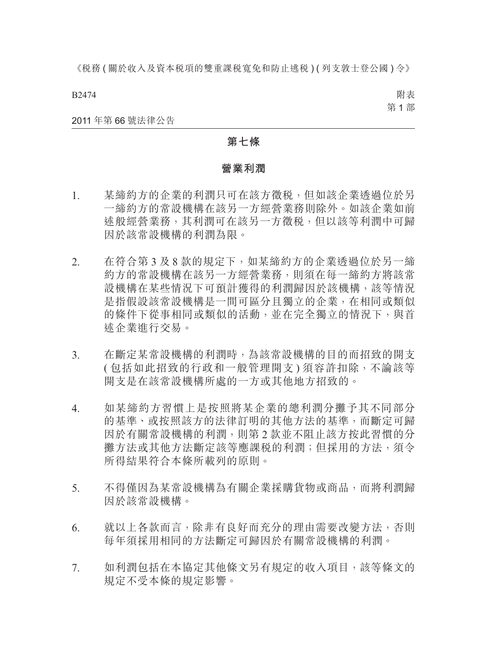B2474

附表 第 1 部

#### 2011 年第 66 號法律公告

#### **第七條**

#### **營業利潤**

- 1. 某締約方的企業的利潤只可在該方徵稅,但如該企業透過位於另 一締約方的常設機構在該另一方經營業務則除外。如該企業如前 述般經營業務,其利潤可在該另一方徵稅,但以該等利潤中可歸 因於該常設機構的利潤為限。
- 2. 在符合第 3 及 8 款的規定下,如某締約方的企業透過位於另一締 約方的常設機構在該另一方經營業務,則須在每一締約方將該常 設機構在某些情況下可預計獲得的利潤歸因於該機構,該等情況 是指假設該常設機構是一間可區分且獨立的企業,在相同或類似 的條件下從事相同或類似的活動,並在完全獨立的情況下,與首 述企業進行交易。
- 3. 在斷定某常設機構的利潤時,為該常設機構的目的而招致的開支 ( 包括如此招致的行政和一般管理開支 ) 須容許扣除,不論該等 開支是在該常設機構所處的一方或其他地方招致的。
- 4. 如某締約方習慣上是按照將某企業的總利潤分攤予其不同部分 的基準、或按照該方的法律訂明的其他方法的基準,而斷定可歸 因於有關常設機構的利潤,則第 2 款並不阻止該方按此習慣的分 攤方法或其他方法斷定該等應課稅的利潤;但採用的方法,須令 所得結果符合本條所載列的原則。
- 5. 不得僅因為某常設機構為有關企業採購貨物或商品,而將利潤歸 因於該常設機構。
- 6. 就以上各款而言,除非有良好而充分的理由需要改變方法,否則 每年須採用相同的方法斷定可歸因於有關常設機構的利潤。
- 7. 如利潤包括在本協定其他條文另有規定的收入項目,該等條文的 規定不受本條的規定影響。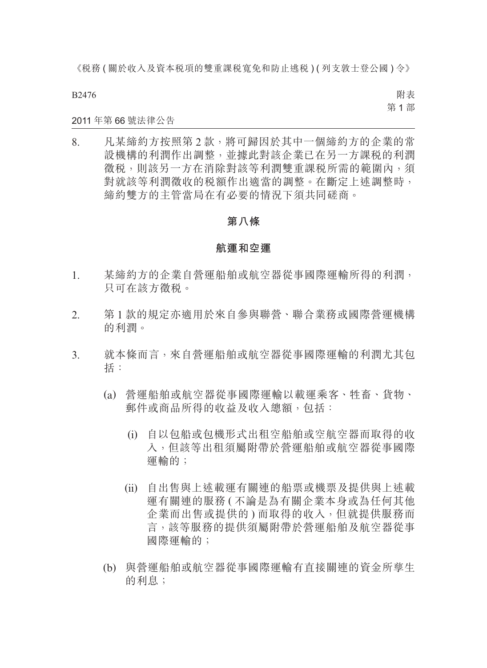B2476

附表 第 1 部

#### 2011 年第 66 號法律公告

8. 凡某締約方按照第 2 款,將可歸因於其中一個締約方的企業的常 設機構的利潤作出調整,並據此對該企業已在另一方課稅的利潤 徵稅,則該另一方在消除對該等利潤雙重課稅所需的範圍內,須 對就該等利潤徵收的稅額作出適當的調整。在斷定上述調整時, 締約雙方的主管當局在有必要的情況下須共同磋商。

#### **第八條**

#### **航運和空運**

- 1. 某締約方的企業自營運船舶或航空器從事國際運輸所得的利潤, 只可在該方徵稅。
- 2. 第 1 款的規定亦適用於來自參與聯營、聯合業務或國際營運機構 的利潤。
- 3. 就本條而言,來自營運船舶或航空器從事國際運輸的利潤尤其包 括:
	- (a) 營運船舶或航空器從事國際運輸以載運乘客、牲畜、貨物、 郵件或商品所得的收益及收入總額,包括:
		- (i) 自以包船或包機形式出租空船舶或空航空器而取得的收 入,但該等出租須屬附帶於營運船舶或航空器從事國際 運輸的;
		- (ii) 自出售與上述載運有關連的船票或機票及提供與上述載 運有關連的服務 ( 不論是為有關企業本身或為任何其他 企業而出售或提供的 ) 而取得的收入,但就提供服務而 言,該等服務的提供須屬附帶於營運船舶及航空器從事 國際運輸的;
	- (b) 與營運船舶或航空器從事國際運輸有直接關連的資金所孳生 的利息;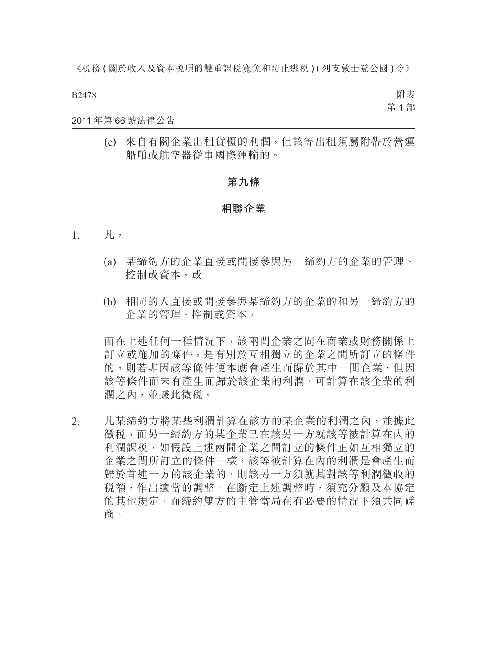B2478

附表 第 1 部

#### 2011 年第 66 號法律公告

(c) 來自有關企業出租貨櫃的利潤,但該等出租須屬附帶於營運 船舶或航空器從事國際運輸的。

#### **第九條**

#### **相聯企業**

- 1. 凡,
	- (a) 某締約方的企業直接或間接參與另一締約方的企業的管理、 控制或資本,或
	- (b) 相同的人直接或間接參與某締約方的企業的和另一締約方的 企業的管理、控制或資本,

而在上述任何一種情況下,該兩間企業之間在商業或財務關係上 訂立或施加的條件,是有別於互相獨立的企業之間所訂立的條件 的,則若非因該等條件便本應會產生而歸於其中一間企業、但因 該等條件而未有產生而歸於該企業的利潤,可計算在該企業的利 潤之內,並據此徵稅。

2. 凡某締約方將某些利潤計算在該方的某企業的利潤之內,並據此 徵稅,而另一締約方的某企業已在該另一方就該等被計算在內的 利潤課税,如假設上述兩間企業之間訂立的條件正如互相獨立的 企業之間所訂立的條件一樣,該等被計算在內的利潤是會產生而 歸於首述一方的該企業的,則該另一方須就其對該等利潤徵收的 稅額,作出適當的調整。在斷定上述調整時,須充分顧及本協定 的其他規定,而締約雙方的主管當局在有必要的情況下須共同磋 商。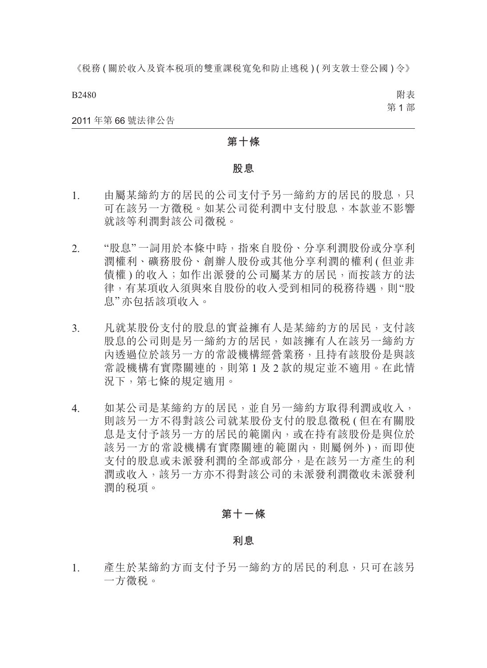B2480

附表 第 1 部

#### 2011 年第 66 號法律公告

#### **第十條**

#### **股息**

- 1. 由屬某締約方的居民的公司支付予另一締約方的居民的股息,只 可在該另一方徵稅。如某公司從利潤中支付股息,本款並不影響 就該等利潤對該公司徵稅。
- 2. "股息"一詞用於本條中時,指來自股份、分享利潤股份或分享利 潤權利、礦務股份、創辦人股份或其他分享利潤的權利 ( 但並非 債權 ) 的收入;如作出派發的公司屬某方的居民,而按該方的法 律,有某項收入須與來自股份的收入受到相同的稅務待遇,則"股 息"亦包括該項收入。
- 3. 凡就某股份支付的股息的實益擁有人是某締約方的居民,支付該 股息的公司則是另一締約方的居民,如該擁有人在該另一締約方 內透過位於該另一方的常設機構經營業務,且持有該股份是與該 常設機構有實際關連的,則第 1 及 2 款的規定並不適用。在此情 況下,第七條的規定適用。
- 4. 如某公司是某締約方的居民,並自另一締約方取得利潤或收入, 則該另一方不得對該公司就某股份支付的股息徵稅 ( 但在有關股 息是支付予該另一方的居民的範圍內,或在持有該股份是與位於 該另一方的常設機構有實際關連的範圍內,則屬例外 ),而即使 支付的股息或未派發利潤的全部或部分,是在該另一方產生的利 潤或收入,該另一方亦不得對該公司的未派發利潤徵收未派發利 潤的稅項。

### **第十一條**

**利息**

1. 產生於某締約方而支付予另一締約方的居民的利息,只可在該另 一方徵稅。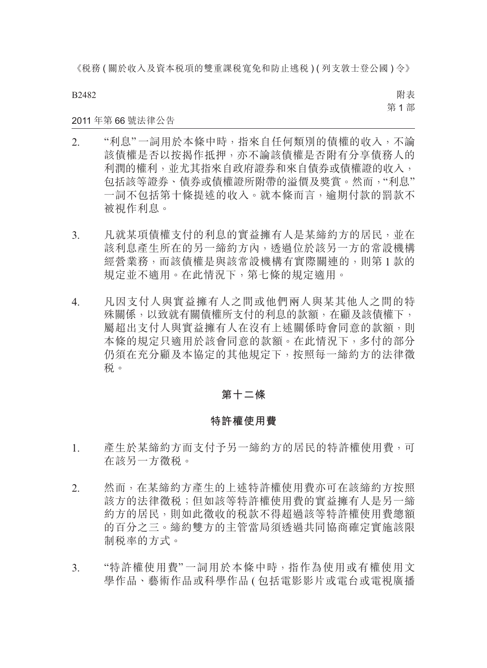B2482

附表 第 1 部

2011 年第 66 號法律公告

- 2. "利息"一詞用於本條中時,指來自任何類別的債權的收入,不論 該債權是否以按揭作抵押,亦不論該債權是否附有分享債務人的 利潤的權利,並尤其指來自政府證券和來自債券或債權證的收入, 包括該等證券、債券或債權證所附帶的溢價及獎賞。然而,"利息" 一詞不包括第十條提述的收入。就本條而言,逾期付款的罰款不 被視作利息。
- 3. 凡就某項債權支付的利息的實益擁有人是某締約方的居民,並在 該利息產生所在的另一締約方內,透過位於該另一方的常設機構 經營業務,而該債權是與該常設機構有實際關連的,則第 1 款的 規定並不適用。在此情況下,第七條的規定適用。
- 4. 凡因支付人與實益擁有人之間或他們兩人與某其他人之間的特 殊關係,以致就有關債權所支付的利息的款額,在顧及該債權下, 屬超出支付人與實益擁有人在沒有上述關係時會同意的款額,則 本條的規定只適用於該會同意的款額。在此情況下,多付的部分 仍須在充分顧及本協定的其他規定下,按照每一締約方的法律徵 稅。

### **第十二條**

#### **特許權使用費**

- 1. 產生於某締約方而支付予另一締約方的居民的特許權使用費,可 在該另一方徵稅。
- 2. 然而,在某締約方產生的上述特許權使用費亦可在該締約方按照 該方的法律徵稅;但如該等特許權使用費的實益擁有人是另一締 約方的居民,則如此徵收的稅款不得超過該等特許權使用費總額 的百分之三。締約雙方的主管當局須透過共同協商確定實施該限 制稅率的方式。
- 3. "特許權使用費" 一詞用於本條中時,指作為使用或有權使用文 學作品、藝術作品或科學作品 ( 包括電影影片或電台或電視廣播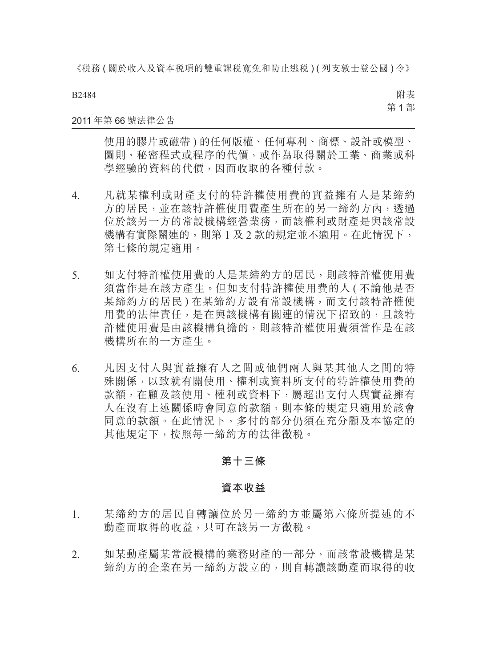B2484

附表 第 1 部

#### 2011 年第 66 號法律公告

使用的膠片或磁帶 ) 的任何版權、任何專利、商標、設計或模型、 圖則、秘密程式或程序的代價,或作為取得關於工業、商業或科 學經驗的資料的代價,因而收取的各種付款。

- 4. 凡就某權利或財產支付的特許權使用費的實益擁有人是某締約 方的居民,並在該特許權使用費產生所在的另一締約方內,透過 位於該另一方的常設機構經營業務,而該權利或財產是與該常設 機構有實際關連的,則第1及2款的規定並不適用。在此情況下, 第七條的規定適用。
- 5. 如支付特許權使用費的人是某締約方的居民,則該特許權使用費 須當作是在該方產生。但如支付特許權使用費的人 ( 不論他是否 某締約方的居民 ) 在某締約方設有常設機構,而支付該特許權使 用費的法律責任,是在與該機構有關連的情況下招致的,且該特 許權使用費是由該機構負擔的,則該特許權使用費須當作是在該 機構所在的一方產生。
- 6. 凡因支付人與實益擁有人之間或他們兩人與某其他人之間的特 殊關係,以致就有關使用、權利或資料所支付的特許權使用費的 款額,在顧及該使用、權利或資料下,屬超出支付人與實益擁有 人在沒有上述關係時會同意的款額,則本條的規定只適用於該會 同意的款額。在此情況下,多付的部分仍須在充分顧及本協定的 其他規定下,按照每一締約方的法律徵稅。

#### **第十三條**

#### **資本收益**

- 1. 某締約方的居民自轉讓位於另一締約方並屬第六條所提述的不 動產而取得的收益,只可在該另一方徵稅。
- 2. 如某動產屬某常設機構的業務財產的一部分,而該常設機構是某 締約方的企業在另一締約方設立的,則自轉讓該動產而取得的收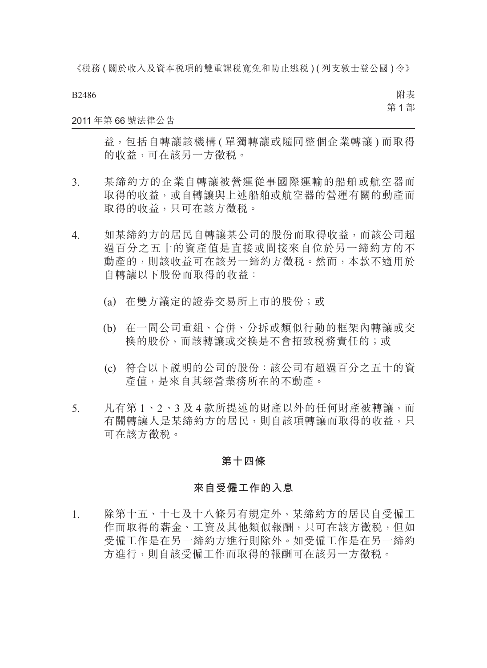B2486

附表 第 1 部

#### 2011 年第 66 號法律公告

益,包括自轉讓該機構(單獨轉讓或隨同整個企業轉讓)而取得 的收益,可在該另一方徵稅。

- 3. 某締約方的企業自轉讓被營運從事國際運輸的船舶或航空器而 取得的收益,或自轉讓與上述船舶或航空器的營運有關的動產而 取得的收益,只可在該方徵税。
- 4. 如某締約方的居民自轉讓某公司的股份而取得收益,而該公司超 過百分之五十的資產值是直接或間接來自位於另一締約方的不 動產的,則該收益可在該另一締約方徵税。然而,本款不適用於 自轉讓以下股份而取得的收益:
	- (a) 在雙方議定的證券交易所上市的股份;或
	- (b) 在一間公司重組、合併、分拆或類似行動的框架內轉讓或交 換的股份,而該轉讓或交換是不會招致稅務責任的;或
	- (c) 符合以下說明的公司的股份:該公司有超過百分之五十的資 產值,是來自其經營業務所在的不動產。
- 5. 凡有第 1、2、3 及 4 款所提述的財產以外的任何財產被轉讓,而 有關轉讓人是某締約方的居民,則自該項轉讓而取得的收益,只 可在該方徵稅。

#### **第十四條**

#### **來自受僱工作的入息**

1. 除第十五、十七及十八條另有規定外,某締約方的居民自受僱工 作而取得的薪金、工資及其他類似報酬,只可在該方徵稅,但如 受僱工作是在另一締約方進行則除外。如受僱工作是在另一締約 方進行,則自該受僱工作而取得的報酬可在該另一方徵稅。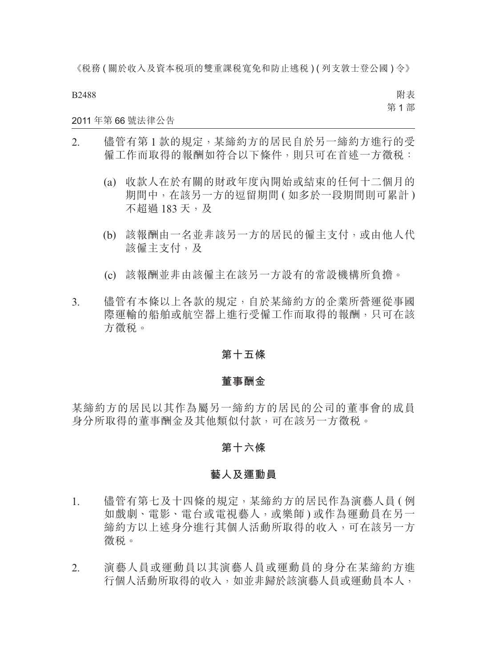B2488

附表 第 1 部

#### 2011 年第 66 號法律公告

- 2. 儘管有第 1 款的規定,某締約方的居民自於另一締約方進行的受 僱工作而取得的報酬如符合以下條件,則只可在首述一方徵稅:
	- (a) 收款人在於有關的財政年度內開始或結束的任何十二個月的 期間中, 在該另一方的逗留期間 ( 如多於一段期間則可累計 ) 不超過 183 天, 及
	- (b) 該報酬由一名並非該另一方的居民的僱主支付,或由他人代 該僱主支付,及
	- (c) 該報酬並非由該僱主在該另一方設有的常設機構所負擔。
- 3. 儘管有本條以上各款的規定,自於某締約方的企業所營運從事國 際運輸的船舶或航空器上進行受僱工作而取得的報酬,只可在該 方徵稅。

#### **第十五條**

#### **董事酬金**

某締約方的居民以其作為屬另一締約方的居民的公司的董事會的成員 身分所取得的董事酬金及其他類似付款,可在該另一方徵稅。

#### **第十六條**

#### **藝人及運動員**

- 1. 儘管有第七及十四條的規定,某締約方的居民作為演藝人員 ( 例 如戲劇、電影、電台或電視藝人,或樂師 ) 或作為運動員在另一 締約方以上述身分進行其個人活動所取得的收入,可在該另一方 徵稅。
- 2. 演藝人員或運動員以其演藝人員或運動員的身分在某締約方進 行個人活動所取得的收入,如並非歸於該演藝人員或運動員本人,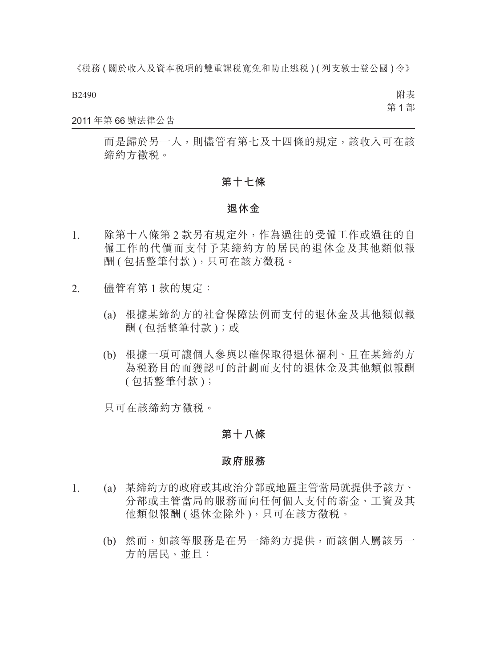B2490

附表 第 1 部

#### 2011 年第 66 號法律公告

而是歸於另一人,則儘管有第七及十四條的規定,該收入可在該 締約方徵稅。

#### **第十七條**

#### **退休金**

- 1. 除第十八條第 2 款另有規定外,作為過往的受僱工作或過往的自 僱工作的代價而支付予某締約方的居民的退休金及其他類似報 酬 ( 包括整筆付款 ), 只可在該方徵税。
- 2. 儘管有第 1 款的規定:
	- (a) 根據某締約方的社會保障法例而支付的退休金及其他類似報 酬 ( 包括整筆付款 );或
	- (b) 根據一項可讓個人參與以確保取得退休福利、且在某締約方 為稅務目的而獲認可的計劃而支付的退休金及其他類似報酬 ( 包括整筆付款 );

只可在該締約方徵稅。

#### **第十八條**

#### **政府服務**

- 1. (a) 某締約方的政府或其政治分部或地區主管當局就提供予該方、 分部或主管當局的服務而向任何個人支付的薪金、工資及其 他類似報酬 ( 退休金除外 ), 只可在該方徵税。
	- (b) 然而,如該等服務是在另一締約方提供,而該個人屬該另一 方的居民,並且: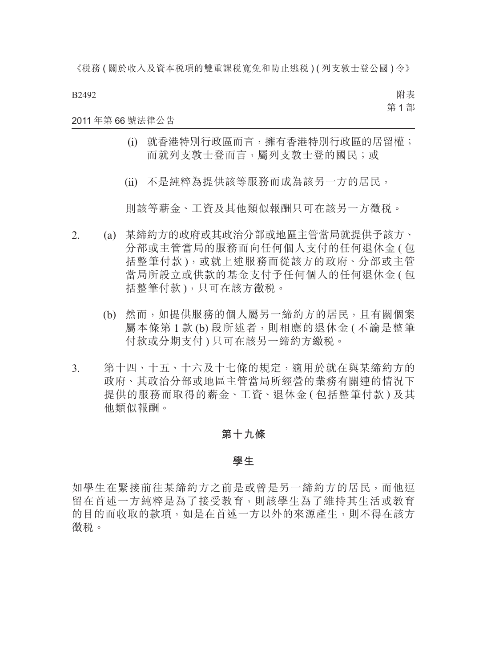B2492

附表 第 1 部

#### 2011 年第 66 號法律公告

- (i) 就香港特別行政區而言,擁有香港特別行政區的居留權; 而就列支敦士登而言,屬列支敦士登的國民;或
- (ii) 不是純粹為提供該等服務而成為該另一方的居民,

則該等薪金、工資及其他類似報酬只可在該另一方徵稅。

- 2. (a) 某締約方的政府或其政治分部或地區主管當局就提供予該方、 分部或主管當局的服務而向任何個人支付的任何退休金 ( 包 括整筆付款),或就上述服務而從該方的政府、分部或主管 當局所設立或供款的基金支付予任何個人的任何退休金 ( 包 括整筆付款 ),只可在該方徵稅。
	- (b) 然而,如提供服務的個人屬另一締約方的居民,且有關個案 屬本條第 1 款 (b) 段所述者,則相應的退休金 ( 不論是整筆 付款或分期支付 ) 只可在該另一締約方繳稅。
- 3. 第十四、十五、十六及十七條的規定,適用於就在與某締約方的 政府、其政治分部或地區主管當局所經營的業務有關連的情況下 提供的服務而取得的薪金、工資、退休金 ( 包括整筆付款 ) 及其 他類似報酬。

#### **第十九條**

#### **學生**

如學生在緊接前往某締約方之前是或曾是另一締約方的居民,而他逗 留在首述一方純粹是為了接受教育,則該學生為了維持其生活或教育 的目的而收取的款項,如是在首述一方以外的來源產生,則不得在該方 徵稅。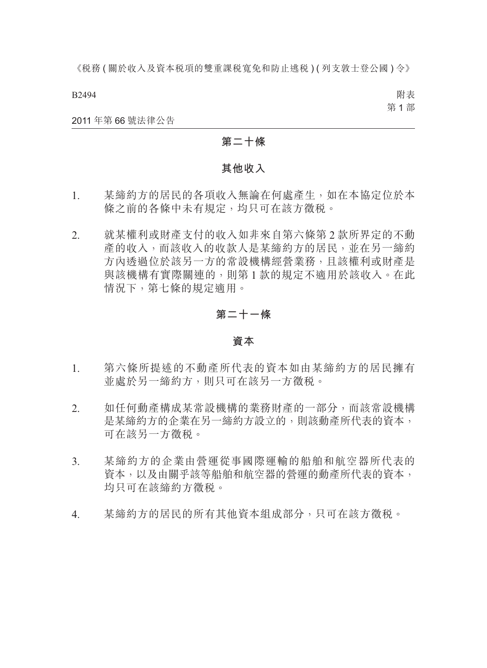B2494

附表 第 1 部

2011 年第 66 號法律公告

#### **第二十條**

#### **其他收入**

- 1. 某締約方的居民的各項收入無論在何處產生,如在本協定位於本 條之前的各條中未有規定,均只可在該方徵税。
- 2. 就某權利或財產支付的收入如非來自第六條第 2 款所界定的不動 產的收入,而該收入的收款人是某締約方的居民,並在另一締約 方內透過位於該另一方的常設機構經營業務,且該權利或財產是 與該機構有實際關連的,則第 1 款的規定不適用於該收入。在此 情況下,第七條的規定適用。

#### **第二十一條**

#### **資本**

- 1. 第六條所提述的不動產所代表的資本如由某締約方的居民擁有 並處於另一締約方,則只可在該另一方徵稅。
- 2. 如任何動產構成某常設機構的業務財產的一部分,而該常設機構 是某締約方的企業在另一締約方設立的,則該動產所代表的資本, 可在該另一方徵稅。
- 3. 某締約方的企業由營運從事國際運輸的船舶和航空器所代表的 資本,以及由關乎該等船舶和航空器的營運的動產所代表的資本, 均只可在該締約方徵稅。
- 4. 某締約方的居民的所有其他資本組成部分,只可在該方徵稅。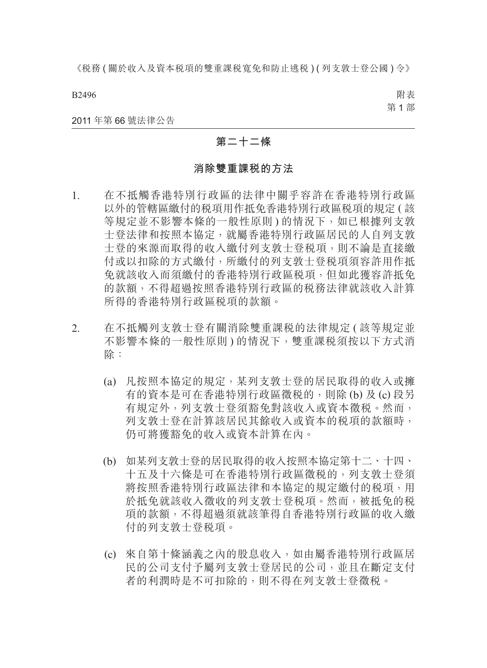B2496

附表 第 1 部

2011 年第 66 號法律公告

#### **第二十二條**

#### **消除雙重課稅的方法**

- 1. 在不抵觸香港特別行政區的法律中關乎容許在香港特別行政區 以外的管轄區繳付的稅項用作抵免香港特別行政區稅項的規定 ( 該 等規定並不影響本條的一般性原則) 的情況下, 如已根據列支敦 士登法律和按照本協定,就屬香港特別行政區居民的人自列支敦 士登的來源而取得的收入繳付列支敦士登稅項,則不論是直接繳 付或以扣除的方式繳付,所繳付的列支敦士登稅項須容許用作抵 免就該收入而須繳付的香港特別行政區稅項,但如此獲容許抵免 的款額,不得超過按照香港特別行政區的稅務法律就該收入計算 所得的香港特別行政區稅項的款額。
- 2. 在不抵觸列支敦士登有關消除雙重課稅的法律規定 ( 該等規定並 不影響本條的一般性原則) 的情況下, 雙重課税須按以下方式消 除:
	- (a) 凡按照本協定的規定,某列支敦士登的居民取得的收入或擁 有的資本是可在香港特別行政區徵稅的,則除 (b) 及 (c) 段另 有規定外,列支敦士登須豁免對該收入或資本徵稅。然而, 列支敦士登在計算該居民其餘收入或資本的稅項的款額時, 仍可將獲豁免的收入或資本計算在內。
	- (b) 如某列支敦士登的居民取得的收入按照本協定第十二、十四、 十五及十六條是可在香港特別行政區徵稅的,列支敦士登須 將按照香港特別行政區法律和本協定的規定繳付的稅項,用 於抵免就該收入徵收的列支敦士登稅項。然而,被抵免的稅 項的款額,不得超過須就該筆得自香港特別行政區的收入繳 付的列支敦士登稅項。
	- (c) 來自第十條涵義之內的股息收入,如由屬香港特別行政區居 民的公司支付予屬列支敦士登居民的公司,並且在斷定支付 者的利潤時是不可扣除的,則不得在列支敦士登徵稅。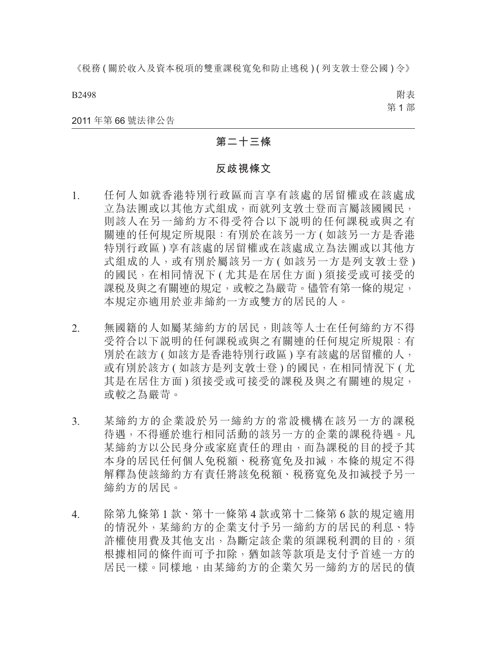B2498

附表 第 1 部

#### 2011 年第 66 號法律公告

#### **第二十三條**

#### **反歧視條文**

- 1. 任何人如就香港特別行政區而言享有該處的居留權或在該處成 立為法團或以其他方式組成,而就列支敦士登而言屬該國國民, 則該人在另一締約方不得受符合以下說明的任何課稅或與之有 關連的任何規定所規限:有別於在該另一方 ( 如該另一方是香港 特別行政區 ) 享有該處的居留權或在該處成立為法團或以其他方 式組成的人,或有別於屬該另一方 (如該另一方是列支敦士登) 的國民,在相同情況下(尤其是在居住方面) 須接受或可接受的 課税及與之有關連的規定,或較之為嚴苛。儘管有第一條的規定, 本規定亦適用於並非締約一方或雙方的居民的人。
- 2. 無國籍的人如屬某締約方的居民,則該等人士在任何締約方不得 受符合以下說明的任何課稅或與之有關連的任何規定所規限:有 別於在該方 ( 如該方是香港特別行政區 ) 享有該處的居留權的人, 或有別於該方 ( 如該方是列支敦士登 ) 的國民, 在相同情況下 ( 尤 其是在居住方面) 須接受或可接受的課税及與之有關連的規定, 或較之為嚴苛。
- 3. 某締約方的企業設於另一締約方的常設機構在該另一方的課稅 待遇,不得遜於進行相同活動的該另一方的企業的課稅待遇。凡 某締約方以公民身分或家庭責任的理由,而為課稅的目的授予其 本身的居民任何個人免稅額、稅務寬免及扣減,本條的規定不得 解釋為使該締約方有責任將該免稅額、稅務寬免及扣減授予另一 締約方的居民。
- 4. 除第九條第 1 款、第十一條第 4 款或第十二條第 6 款的規定適用 的情況外,某締約方的企業支付予另一締約方的居民的利息、特 許權使用費及其他支出,為斷定該企業的須課稅利潤的目的,須 根據相同的條件而可予扣除,猶如該等款項是支付予首述一方的 居民一樣。同樣地,由某締約方的企業欠另一締約方的居民的債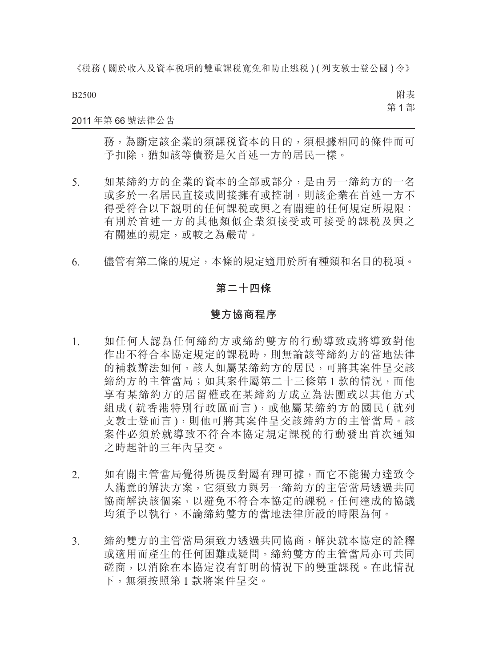B2500

附表 第 1 部

#### 2011 年第 66 號法律公告

務,為斷定該企業的須課稅資本的目的,須根據相同的條件而可 予扣除,猶如該等債務是欠首述一方的居民一樣。

- 5. 如某締約方的企業的資本的全部或部分,是由另一締約方的一名 或多於一名居民直接或間接擁有或控制,則該企業在首述一方不 得受符合以下說明的任何課稅或與之有關連的任何規定所規限: 有別於首述一方的其他類似企業須接受或可接受的課稅及與之 有關連的規定,或較之為嚴苛。
- 6. 儘管有第二條的規定,本條的規定適用於所有種類和名目的稅項。

#### **第二十四條**

#### **雙方協商程序**

- 1. 如任何人認為任何締約方或締約雙方的行動導致或將導致對他 作出不符合本協定規定的課稅時,則無論該等締約方的當地法律 的補救辦法如何,該人如屬某締約方的居民,可將其案件呈交該 締約方的主管當局;如其案件屬第二十三條第1款的情況,而他 享有某締約方的居留權或在某締約方成立為法團或以其他方式 組成 ( 就香港特別行政區而言 ), 或他屬某締約方的國民 ( 就列 支敦士登而言 ),則他可將其案件呈交該締約方的主管當局。該 案件必須於就導致不符合本協定規定課稅的行動發出首次通知 之時起計的三年內呈交。
- 2. 如有關主管當局覺得所提反對屬有理可據,而它不能獨力達致令 人滿意的解決方案,它須致力與另一締約方的主管當局透過共同 協商解決該個案,以避免不符合本協定的課稅。任何達成的協議 均須予以執行,不論締約雙方的當地法律所設的時限為何。
- 3. 締約雙方的主管當局須致力透過共同協商,解決就本協定的詮釋 或適用而產生的任何困難或疑問。締約雙方的主管當局亦可共同 磋商,以消除在本協定沒有訂明的情況下的雙重課稅。在此情況 下,無須按照第 1 款將案件呈交。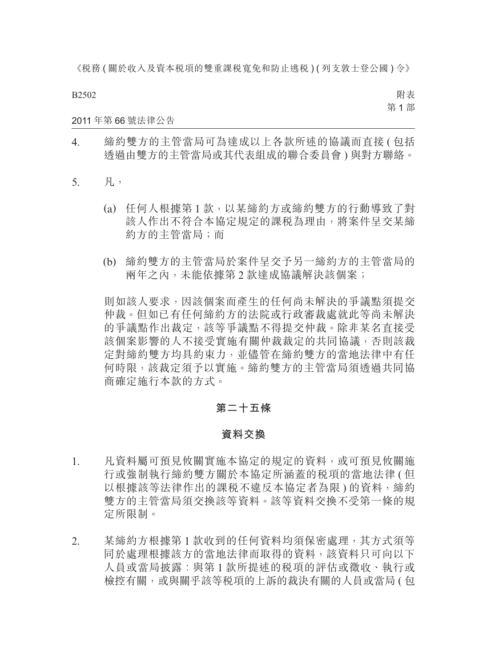B2502

附表 第 1 部

2011 年第 66 號法律公告

- 4. 締約雙方的主管當局可為達成以上各款所述的協議而直接 ( 包括 透過由雙方的主管當局或其代表組成的聯合委員會 ) 與對方聯絡。
- 5. 凡,
	- (a) 任何人根據第 1 款,以某締約方或締約雙方的行動導致了對 該人作出不符合本協定規定的課稅為理由,將案件呈交某締 約方的主管當局;而
	- (b) 締約雙方的主管當局於案件呈交予另一締約方的主管當局的 兩年之內,未能依據第 2 款達成協議解決該個案;

則如該人要求,因該個案而產生的任何尚未解決的爭議點須提交 仲裁。但如已有任何締約方的法院或行政審裁處就此等尚未解決 的爭議點作出裁定,該等爭議點不得提交仲裁。除非某名直接受 該個案影響的人不接受實施有關仲裁裁定的共同協議,否則該裁 定對締約雙方均具約束力,並儘管在締約雙方的當地法律中有任 何時限,該裁定須予以實施。締約雙方的主管當局須透過共同協 商確定施行本款的方式。

#### **第二十五條**

#### **資料交換**

- 1. 凡資料屬可預見攸關實施本協定的規定的資料,或可預見攸關施 行或強制執行締約雙方關於本協定所涵蓋的稅項的當地法律 ( 但 以根據該等法律作出的課税不違反本協定者為限)的資料,締約 雙方的主管當局須交換該等資料。該等資料交換不受第一條的規 定所限制。
- 2. 某締約方根據第 1 款收到的任何資料均須保密處理,其方式須等 同於處理根據該方的當地法律而取得的資料,該資料只可向以下 人員或當局披露︰與第 1 款所提述的稅項的評估或徵收、執行或 檢控有關,或與關乎該等稅項的上訴的裁決有關的人員或當局 ( 包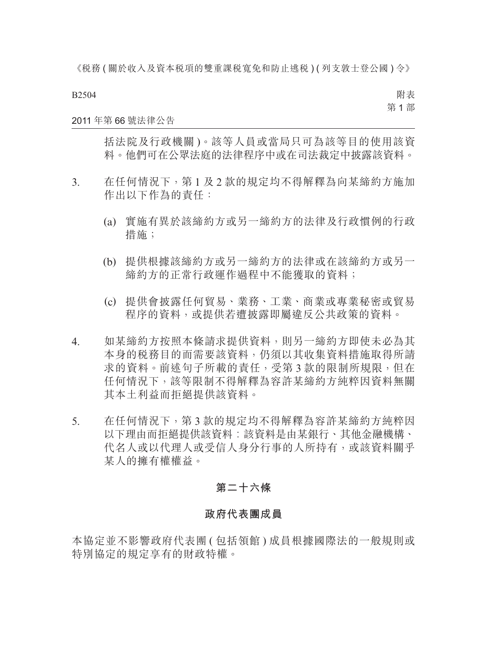B2504

附表 第 1 部

#### 2011 年第 66 號法律公告

括法院及行政機關 )。該等人員或當局只可為該等目的使用該資 料。他們可在公眾法庭的法律程序中或在司法裁定中披露該資料。

- 3. 在任何情況下,第 1 及 2 款的規定均不得解釋為向某締約方施加 作出以下作為的責任:
	- (a) 實施有異於該締約方或另一締約方的法律及行政慣例的行政 措施;
	- (b) 提供根據該締約方或另一締約方的法律或在該締約方或另一 締約方的正常行政運作過程中不能獲取的資料;
	- (c) 提供會披露任何貿易、業務、工業、商業或專業秘密或貿易 程序的資料,或提供若遭披露即屬違反公共政策的資料。
- 4. 如某締約方按照本條請求提供資料,則另一締約方即使未必為其 本身的稅務目的而需要該資料,仍須以其收集資料措施取得所請 求的資料。前述句子所載的責任,受第 3 款的限制所規限,但在 任何情況下,該等限制不得解釋為容許某締約方純粹因資料無關 其本土利益而拒絕提供該資料。
- 5. 在任何情況下,第 3 款的規定均不得解釋為容許某締約方純粹因 以下理由而拒絕提供該資料︰該資料是由某銀行、其他金融機構、 代名人或以代理人或受信人身分行事的人所持有,或該資料關乎 某人的擁有權權益。

#### **第二十六條**

#### **政府代表團成員**

本協定並不影響政府代表團 ( 包括領館 ) 成員根據國際法的一般規則或 特別協定的規定享有的財政特權。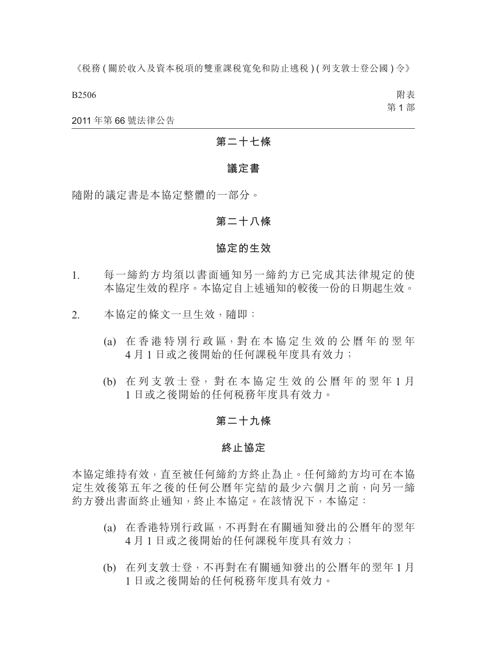B2506

附表 第 1 部

2011 年第 66 號法律公告

### **第二十七條**

#### **議定書**

隨附的議定書是本協定整體的一部分。

#### **第二十八條**

#### **協定的生效**

- 1. 每一締約方均須以書面通知另一締約方已完成其法律規定的使 本協定生效的程序。本協定自上述通知的較後一份的日期起生效。
- 2. 本協定的條文一旦生效,隨即:
	- (a) 在 香 港 特 別 行 政 區,對 在 本 協 定 生 效 的 公 曆 年 的 翌 年 4 月 1 日或之後開始的任何課稅年度具有效力;
	- (b) 在 列 支 敦 士 登, 對 在 本 協 定 生 效 的 公 曆 年 的 翌 年 1 月 1 日或之後開始的任何稅務年度具有效力。

#### **第二十九條**

#### **終止協定**

本協定維持有效,直至被任何締約方終止為止。任何締約方均可在本協 定生效後第五年之後的任何公曆年完結的最少六個月之前,向另一締 約方發出書面終止通知,終止本協定。在該情況下,本協定:

- (a) 在香港特別行政區,不再對在有關通知發出的公曆年的翌年 4 月 1 日或之後開始的任何課稅年度具有效力;
- (b) 在列支敦士登,不再對在有關通知發出的公曆年的翌年 1 月 1 日或之後開始的任何稅務年度具有效力。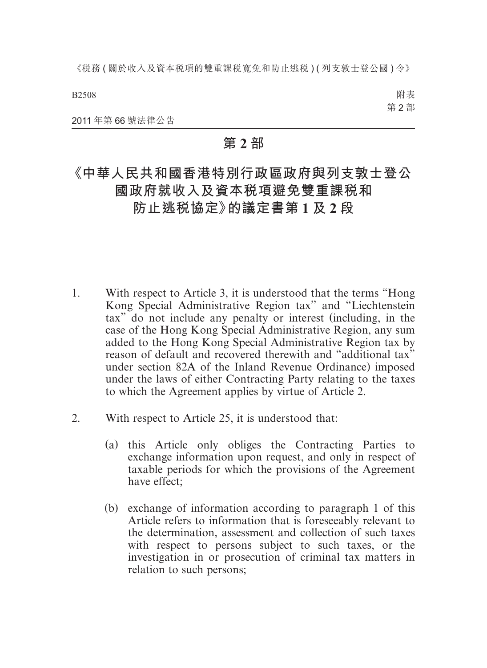《税務(關於收入及資本税項的雙重課税寬免和防止逃税)(列支敦士登公國)令》

B2508

附表 第 2 部

2011 年第 66 號法律公告

### **第 2 部**

# **《中華人民共和國香港特別行政區政府與列支敦士登公 國政府就收入及資本稅項避免雙重課稅和 防止逃稅協定》的議定書第 1 及 2 段**

- 1. With respect to Article 3, it is understood that the terms "Hong Kong Special Administrative Region tax" and "Liechtenstein tax" do not include any penalty or interest (including, in the case of the Hong Kong Special Administrative Region, any sum added to the Hong Kong Special Administrative Region tax by reason of default and recovered therewith and "additional tax" under section 82A of the Inland Revenue Ordinance) imposed under the laws of either Contracting Party relating to the taxes to which the Agreement applies by virtue of Article 2.
- 2. With respect to Article 25, it is understood that:
	- (a) this Article only obliges the Contracting Parties to exchange information upon request, and only in respect of taxable periods for which the provisions of the Agreement have effect;
	- (b) exchange of information according to paragraph 1 of this Article refers to information that is foreseeably relevant to the determination, assessment and collection of such taxes with respect to persons subject to such taxes, or the investigation in or prosecution of criminal tax matters in relation to such persons;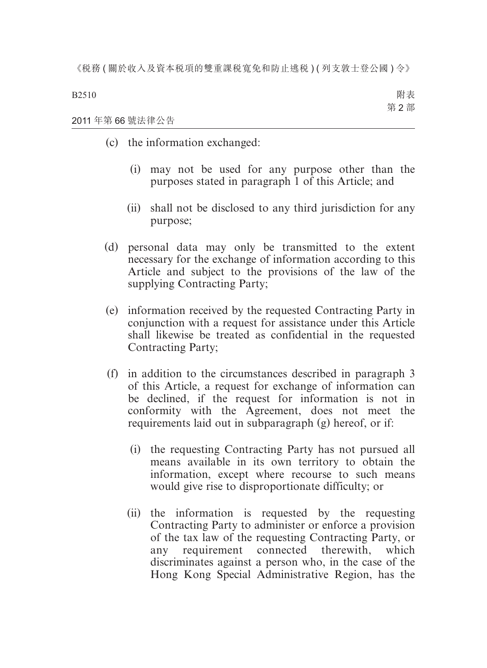B2510 附表 第 2 部

#### 2011 年第 66 號法律公告

- (c) the information exchanged:
	- (i) may not be used for any purpose other than the purposes stated in paragraph 1 of this Article; and
	- (ii) shall not be disclosed to any third jurisdiction for any purpose;
- (d) personal data may only be transmitted to the extent necessary for the exchange of information according to this Article and subject to the provisions of the law of the supplying Contracting Party;
- (e) information received by the requested Contracting Party in conjunction with a request for assistance under this Article shall likewise be treated as confidential in the requested Contracting Party;
- (f) in addition to the circumstances described in paragraph 3 of this Article, a request for exchange of information can be declined, if the request for information is not in conformity with the Agreement, does not meet the requirements laid out in subparagraph (g) hereof, or if:
	- (i) the requesting Contracting Party has not pursued all means available in its own territory to obtain the information, except where recourse to such means would give rise to disproportionate difficulty; or
	- (ii) the information is requested by the requesting Contracting Party to administer or enforce a provision of the tax law of the requesting Contracting Party, or any requirement connected therewith, which discriminates against a person who, in the case of the Hong Kong Special Administrative Region, has the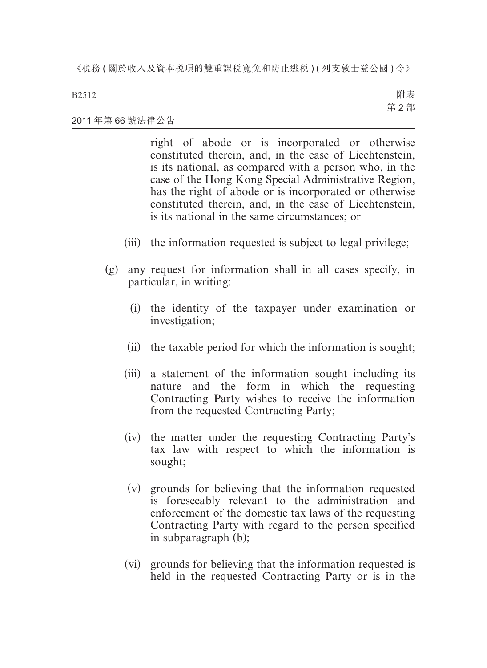#### B2512

附表 第 2 部

#### 2011 年第 66 號法律公告

right of abode or is incorporated or otherwise constituted therein, and, in the case of Liechtenstein, is its national, as compared with a person who, in the case of the Hong Kong Special Administrative Region, has the right of abode or is incorporated or otherwise constituted therein, and, in the case of Liechtenstein, is its national in the same circumstances; or

- (iii) the information requested is subject to legal privilege;
- (g) any request for information shall in all cases specify, in particular, in writing:
	- (i) the identity of the taxpayer under examination or investigation;
	- (ii) the taxable period for which the information is sought;
	- (iii) a statement of the information sought including its nature and the form in which the requesting Contracting Party wishes to receive the information from the requested Contracting Party;
	- (iv) the matter under the requesting Contracting Party's tax law with respect to which the information is sought;
	- (v) grounds for believing that the information requested is foreseeably relevant to the administration and enforcement of the domestic tax laws of the requesting Contracting Party with regard to the person specified in subparagraph (b);
	- (vi) grounds for believing that the information requested is held in the requested Contracting Party or is in the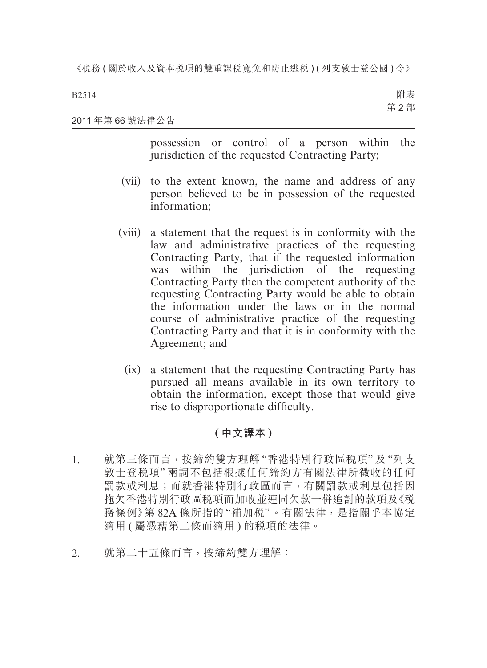B2514

附表 第 2 部

#### 2011 年第 66 號法律公告

possession or control of a person within the jurisdiction of the requested Contracting Party;

- (vii) to the extent known, the name and address of any person believed to be in possession of the requested information;
- (viii) a statement that the request is in conformity with the law and administrative practices of the requesting Contracting Party, that if the requested information was within the jurisdiction of the requesting Contracting Party then the competent authority of the requesting Contracting Party would be able to obtain the information under the laws or in the normal course of administrative practice of the requesting Contracting Party and that it is in conformity with the Agreement; and
	- (ix) a statement that the requesting Contracting Party has pursued all means available in its own territory to obtain the information, except those that would give rise to disproportionate difficulty.

### **( 中文譯本 )**

- 1. 就第三條而言,按締約雙方理解 "香港特別行政區稅項" 及 "列支 敦士登稅項" 兩詞不包括根據任何締約方有關法律所徵收的任何 罰款或利息;而就香港特別行政區而言,有關罰款或利息包括因 拖欠香港特別行政區稅項而加收並連同欠款一併追討的款項及《稅 務條例》第 82A 條所指的 "補加稅"。有關法律,是指關乎本協定 適用 ( 屬憑藉第二條而適用 ) 的稅項的法律。
- 2. 就第二十五條而言,按締約雙方理解: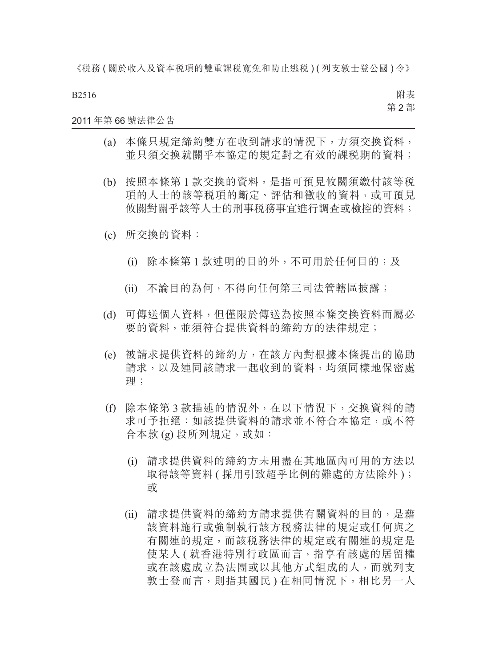B2516

附表 第 2 部

#### 2011 年第 66 號法律公告

- (a) 本條只規定締約雙方在收到請求的情況下,方須交換資料, 並只須交換就關乎本協定的規定對之有效的課稅期的資料;
- (b) 按照本條第 1 款交換的資料,是指可預見攸關須繳付該等稅 項的人士的該等稅項的斷定、評估和徵收的資料,或可預見 攸關對關乎該等人士的刑事稅務事宜進行調查或檢控的資料;
- (c) 所交換的資料:
	- (i) 除本條第 1 款述明的目的外,不可用於任何目的;及
	- (ii) 不論目的為何,不得向任何第三司法管轄區披露;
- (d) 可傳送個人資料,但僅限於傳送為按照本條交換資料而屬必 要的資料,並須符合提供資料的締約方的法律規定;
- (e) 被請求提供資料的締約方,在該方內對根據本條提出的協助 請求,以及連同該請求一起收到的資料,均須同樣地保密處 理;
- (f) 除本條第 3 款描述的情況外,在以下情況下,交換資料的請 求可予拒絕:如該提供資料的請求並不符合本協定,或不符 合本款 (g) 段所列規定, 或如:
	- (i) 請求提供資料的締約方未用盡在其地區內可用的方法以 取得該等資料 ( 採用引致超乎比例的難處的方法除外 ); 或
	- (ii) 請求提供資料的締約方請求提供有關資料的目的,是藉 該資料施行或強制執行該方稅務法律的規定或任何與之 有關連的規定,而該稅務法律的規定或有關連的規定是 使某人 ( 就香港特別行政區而言,指享有該處的居留權 或在該處成立為法團或以其他方式組成的人,而就列支 敦士登而言,則指其國民 ) 在相同情況下,相比另一人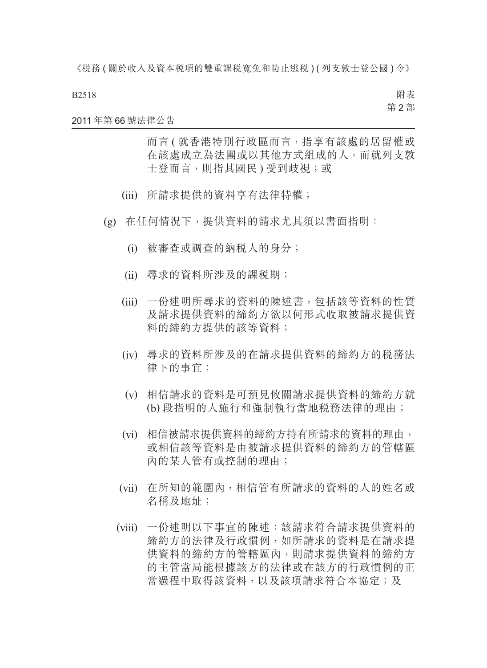#### B2518

附表 第 2 部

#### 2011 年第 66 號法律公告

而言 ( 就香港特別行政區而言,指享有該處的居留權或 在該處成立為法團或以其他方式組成的人,而就列支敦 士登而言,則指其國民) 受到歧視;或

- (iii) 所請求提供的資料享有法律特權;
- (g) 在任何情況下,提供資料的請求尤其須以書面指明:
	- (i) 被審查或調查的納稅人的身分;
	- (ii) 尋求的資料所涉及的課稅期;
	- (iii) 一份述明所尋求的資料的陳述書,包括該等資料的性質 及請求提供資料的締約方欲以何形式收取被請求提供資 料的締約方提供的該等資料;
	- (iv) 尋求的資料所涉及的在請求提供資料的締約方的稅務法 律下的事宜;
	- (v) 相信請求的資料是可預見攸關請求提供資料的締約方就 (b) 段指明的人施行和強制執行當地稅務法律的理由;
	- (vi) 相信被請求提供資料的締約方持有所請求的資料的理由, 或相信該等資料是由被請求提供資料的締約方的管轄區 內的某人管有或控制的理由;
	- (vii) 在所知的範圍內,相信管有所請求的資料的人的姓名或 名稱及地址;
	- (viii) 一份述明以下事宜的陳述:該請求符合請求提供資料的 締約方的法律及行政慣例,如所請求的資料是在請求提 供資料的締約方的管轄區內,則請求提供資料的締約方 的主管當局能根據該方的法律或在該方的行政慣例的正 常過程中取得該資料,以及該項請求符合本協定;及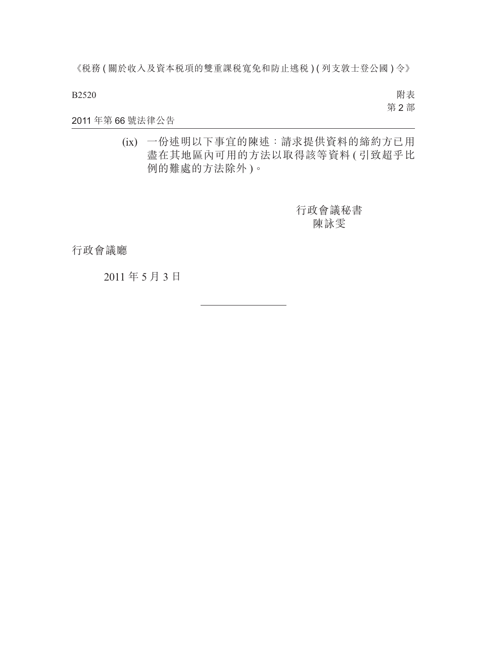B2520

附表 第 2 部

#### 2011 年第 66 號法律公告

(ix) 一份述明以下事宜的陳述:請求提供資料的締約方已用 盡在其地區內可用的方法以取得該等資料 ( 引致超乎比 例的難處的方法除外 )。

> 行政會議秘書 陳詠雯

行政會議廳

2011 年 5 月 3 日